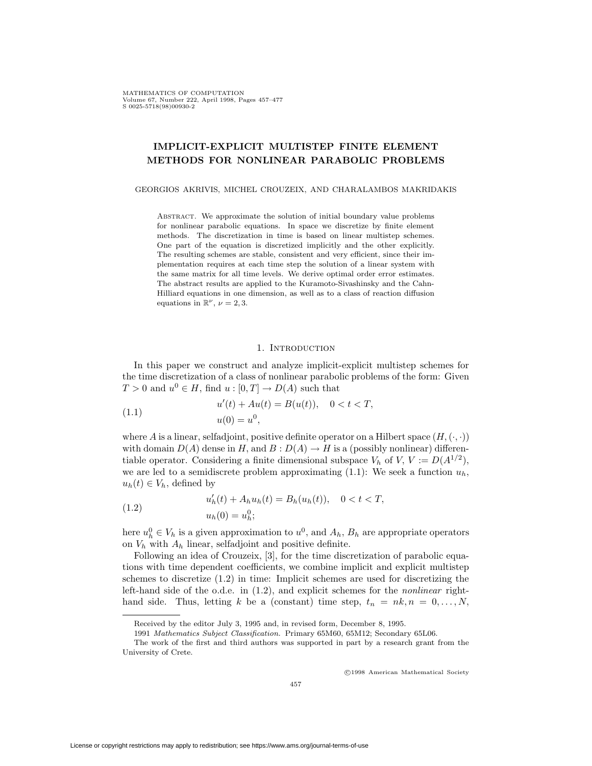MATHEMATICS OF COMPUTATION Volume 67, Number 222, April 1998, Pages 457-477  $S$  0025-5718(98)00930-2

# **IMPLICIT-EXPLICIT MULTISTEP FINITE ELEMENT METHODS FOR NONLINEAR PARABOLIC PROBLEMS**

GEORGIOS AKRIVIS, MICHEL CROUZEIX, AND CHARALAMBOS MAKRIDAKIS

Abstract. We approximate the solution of initial boundary value problems for nonlinear parabolic equations. In space we discretize by finite element methods. The discretization in time is based on linear multistep schemes. One part of the equation is discretized implicitly and the other explicitly. The resulting schemes are stable, consistent and very efficient, since their implementation requires at each time step the solution of a linear system with the same matrix for all time levels. We derive optimal order error estimates. The abstract results are applied to the Kuramoto-Sivashinsky and the Cahn-Hilliard equations in one dimension, as well as to a class of reaction diffusion equations in  $\mathbb{R}^{\nu}$ ,  $\nu = 2, 3$ .

# 1. INTRODUCTION

In this paper we construct and analyze implicit-explicit multistep schemes for the time discretization of a class of nonlinear parabolic problems of the form: Given  $T > 0$  and  $u^0 \in H$ , find  $u : [0, T] \to D(A)$  such that

(1.1) 
$$
u'(t) + Au(t) = B(u(t)), \quad 0 < t < T,
$$

$$
u(0) = u^{0},
$$

where *A* is a linear, selfadjoint, positive definite operator on a Hilbert space  $(H, (\cdot, \cdot))$ with domain  $D(A)$  dense in *H*, and  $B: D(A) \to H$  is a (possibly nonlinear) differentiable operator. Considering a finite dimensional subspace  $V_h$  of  $V, V := D(A^{1/2})$ , we are led to a semidiscrete problem approximating  $(1.1)$ : We seek a function  $u_h$ ,  $u_h(t) \in V_h$ , defined by

(1.2) 
$$
u'_{h}(t) + A_{h}u_{h}(t) = B_{h}(u_{h}(t)), \quad 0 < t < T,
$$

$$
u_{h}(0) = u_{h}^{0};
$$

here  $u_h^0 \in V_h$  is a given approximation to  $u^0$ , and  $A_h$ ,  $B_h$  are appropriate operators on  $V_h$  with  $A_h$  linear, selfadjoint and positive definite.

Following an idea of Crouzeix, [3], for the time discretization of parabolic equations with time dependent coefficients, we combine implicit and explicit multistep schemes to discretize (1.2) in time: Implicit schemes are used for discretizing the left-hand side of the o.d.e. in (1.2), and explicit schemes for the *nonlinear* righthand side. Thus, letting *k* be a (constant) time step,  $t_n = nk, n = 0, \ldots, N$ ,

<sup>c</sup> 1998 American Mathematical Society

Received by the editor July 3, 1995 and, in revised form, December 8, 1995.

<sup>1991</sup> Mathematics Subject Classification. Primary 65M60, 65M12; Secondary 65L06.

The work of the first and third authors was supported in part by a research grant from the University of Crete.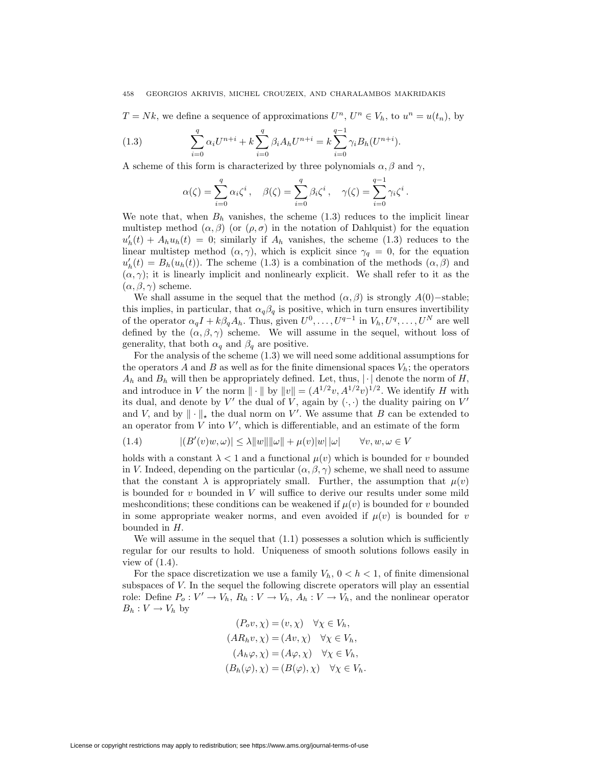$T = Nk$ , we define a sequence of approximations  $U^n$ ,  $U^n \in V_h$ , to  $u^n = u(t_n)$ , by

(1.3) 
$$
\sum_{i=0}^{q} \alpha_i U^{n+i} + k \sum_{i=0}^{q} \beta_i A_h U^{n+i} = k \sum_{i=0}^{q-1} \gamma_i B_h (U^{n+i}).
$$

A scheme of this form is characterized by three polynomials  $\alpha, \beta$  and  $\gamma$ ,

$$
\alpha(\zeta) = \sum_{i=0}^q \alpha_i \zeta^i, \quad \beta(\zeta) = \sum_{i=0}^q \beta_i \zeta^i, \quad \gamma(\zeta) = \sum_{i=0}^{q-1} \gamma_i \zeta^i.
$$

We note that, when  $B_h$  vanishes, the scheme  $(1.3)$  reduces to the implicit linear multistep method  $(\alpha, \beta)$  (or  $(\rho, \sigma)$ ) in the notation of Dahlquist) for the equation  $u'_h(t) + A_h u_h(t) = 0$ ; similarly if  $A_h$  vanishes, the scheme (1.3) reduces to the linear multistep method  $(\alpha, \gamma)$ , which is explicit since  $\gamma_q = 0$ , for the equation  $u'_h(t) = B_h(u_h(t))$ . The scheme (1.3) is a combination of the methods  $(\alpha, \beta)$  and  $(\alpha, \gamma)$ ; it is linearly implicit and nonlinearly explicit. We shall refer to it as the  $(\alpha, \beta, \gamma)$  scheme.

We shall assume in the sequel that the method  $(\alpha, \beta)$  is strongly  $A(0)$ −stable; this implies, in particular, that  $\alpha_q \beta_q$  is positive, which in turn ensures invertibility of the operator  $\alpha_q I + k\beta_q A_h$ . Thus, given  $U^0, \ldots, U^{q-1}$  in  $V_h, U^q, \ldots, U^N$  are well defined by the  $(\alpha, \beta, \gamma)$  scheme. We will assume in the sequel, without loss of generality, that both  $\alpha_q$  and  $\beta_q$  are positive.

For the analysis of the scheme (1.3) we will need some additional assumptions for the operators *A* and *B* as well as for the finite dimensional spaces  $V_h$ ; the operators  $A_h$  and  $B_h$  will then be appropriately defined. Let, thus,  $|\cdot|$  denote the norm of *H*, and introduce in *V* the norm  $\Vert \cdot \Vert$  by  $\Vert v \Vert = (A^{1/2}v, A^{1/2}v)^{1/2}$ . We identify *H* with its dual, and denote by  $V'$  the dual of  $V$ , again by  $(\cdot, \cdot)$  the duality pairing on  $V'$ and *V*, and by  $\|\cdot\|_{*}$  the dual norm on *V'*. We assume that *B* can be extended to an operator from  $\hat{V}$  into  $V'$ , which is differentiable, and an estimate of the form

(1.4) 
$$
|(B'(v)w, \omega)| \le \lambda ||w|| ||\omega|| + \mu(v)|w|| \omega| \quad \forall v, w, \omega \in V
$$

holds with a constant  $\lambda < 1$  and a functional  $\mu(v)$  which is bounded for *v* bounded in *V*. Indeed, depending on the particular  $(\alpha, \beta, \gamma)$  scheme, we shall need to assume that the constant  $\lambda$  is appropriately small. Further, the assumption that  $\mu(v)$ is bounded for *v* bounded in *V* will suffice to derive our results under some mild mesh conditions; these conditions can be weakened if  $\mu(v)$  is bounded for *v* bounded in some appropriate weaker norms, and even avoided if  $\mu(v)$  is bounded for *v* bounded in *H.*

We will assume in the sequel that  $(1.1)$  possesses a solution which is sufficiently regular for our results to hold. Uniqueness of smooth solutions follows easily in view of  $(1.4)$ .

For the space discretization we use a family  $V_h$ ,  $0 < h < 1$ , of finite dimensional subspaces of *V.* In the sequel the following discrete operators will play an essential role: Define  $P_o: V' \to V_h$ ,  $R_h: V \to V_h$ ,  $A_h: V \to V_h$ , and the nonlinear operator  $B_h: V \to V_h$  by

$$
(P_o v, \chi) = (v, \chi) \quad \forall \chi \in V_h,
$$
  
\n
$$
(AR_h v, \chi) = (Av, \chi) \quad \forall \chi \in V_h,
$$
  
\n
$$
(A_h \varphi, \chi) = (A\varphi, \chi) \quad \forall \chi \in V_h,
$$
  
\n
$$
(B_h(\varphi), \chi) = (B(\varphi), \chi) \quad \forall \chi \in V_h.
$$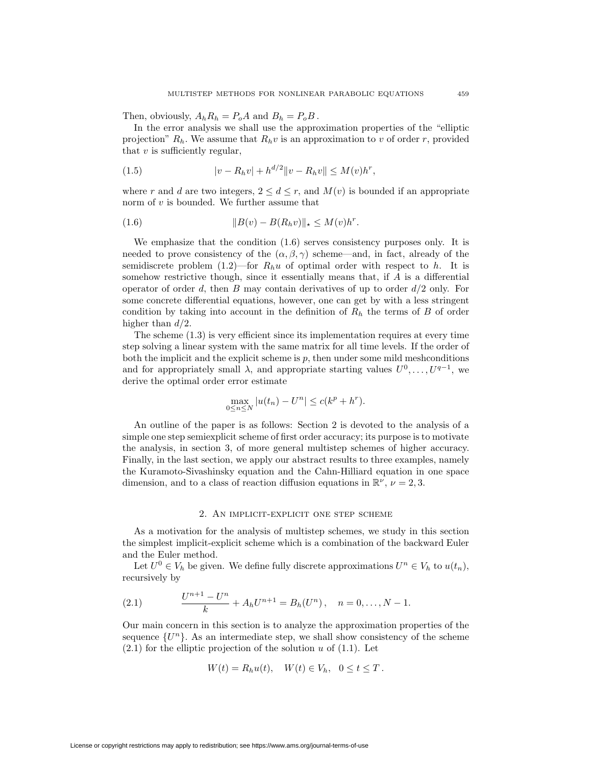Then, obviously,  $A_h R_h = P_o A$  and  $B_h = P_o B$ .

In the error analysis we shall use the approximation properties of the "elliptic projection"  $R_h$ . We assume that  $R_h v$  is an approximation to *v* of order *r*, provided that *v* is sufficiently regular,

(1.5) 
$$
|v - R_h v| + h^{d/2} ||v - R_h v|| \le M(v) h^r,
$$

where *r* and *d* are two integers,  $2 \leq d \leq r$ , and  $M(v)$  is bounded if an appropriate norm of *v* is bounded. We further assume that

(1.6) 
$$
||B(v) - B(R_h v)||_* \le M(v)h^r.
$$

We emphasize that the condition (1.6) serves consistency purposes only. It is needed to prove consistency of the  $(\alpha, \beta, \gamma)$  scheme—and, in fact, already of the semidiscrete problem  $(1.2)$ —for  $R_h u$  of optimal order with respect to h. It is somehow restrictive though, since it essentially means that, if *A* is a differential operator of order *d,* then *B* may contain derivatives of up to order *d/*2 only. For some concrete differential equations, however, one can get by with a less stringent condition by taking into account in the definition of *R<sup>h</sup>* the terms of *B* of order higher than *d/*2*.*

The scheme (1.3) is very efficient since its implementation requires at every time step solving a linear system with the same matrix for all time levels. If the order of both the implicit and the explicit scheme is  $p$ , then under some mild meshconditions and for appropriately small  $\lambda$ , and appropriate starting values  $U^0, \ldots, U^{q-1}$ , we derive the optimal order error estimate

$$
\max_{0 \le n \le N} |u(t_n) - U^n| \le c(k^p + h^r).
$$

An outline of the paper is as follows: Section 2 is devoted to the analysis of a simple one step semiexplicit scheme of first order accuracy; its purpose is to motivate the analysis, in section 3, of more general multistep schemes of higher accuracy. Finally, in the last section, we apply our abstract results to three examples, namely the Kuramoto-Sivashinsky equation and the Cahn-Hilliard equation in one space dimension, and to a class of reaction diffusion equations in  $\mathbb{R}^{\nu}$ ,  $\nu = 2, 3$ .

#### 2. An implicit-explicit one step scheme

As a motivation for the analysis of multistep schemes, we study in this section the simplest implicit-explicit scheme which is a combination of the backward Euler and the Euler method.

Let  $U^0 \in V_h$  be given. We define fully discrete approximations  $U^n \in V_h$  to  $u(t_n)$ , recursively by

(2.1) 
$$
\frac{U^{n+1} - U^n}{k} + A_h U^{n+1} = B_h(U^n), \quad n = 0, ..., N-1.
$$

Our main concern in this section is to analyze the approximation properties of the sequence  $\{U^{n}\}\$ . As an intermediate step, we shall show consistency of the scheme (2.1) for the elliptic projection of the solution *u* of (1.1). Let

$$
W(t) = R_h u(t), \quad W(t) \in V_h, \quad 0 \le t \le T.
$$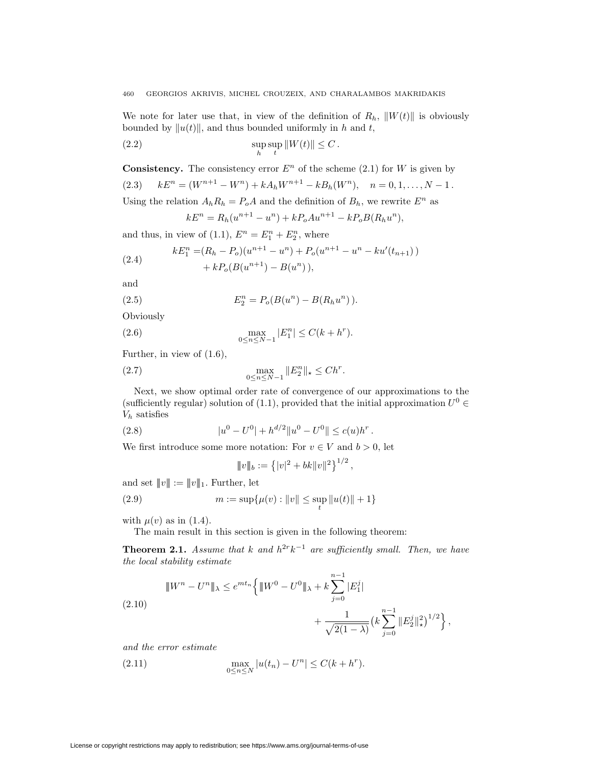We note for later use that, in view of the definition of  $R_h$ ,  $||W(t)||$  is obviously bounded by  $||u(t)||$ , and thus bounded uniformly in *h* and *t*,

(2.2) 
$$
\sup_{h} \sup_{t} ||W(t)|| \leq C.
$$

**Consistency.** The consistency error  $E^n$  of the scheme (2.1) for *W* is given by  $kE^n = (W^{n+1} - W^n) + kA_hW^{n+1} - kB_h(W^n), \quad n = 0, 1, \ldots, N - 1$ . Using the relation  $A_h R_h = P_o A$  and the definition of  $B_h$ , we rewrite  $E^n$  as  $kE^{n} = R_{h}(u^{n+1} - u^{n}) + kP_{o}Au^{n+1} - kP_{o}B(R_{h}u^{n}),$ 

and thus, in view of  $(1.1)$ ,  $E^{n} = E_{1}^{n} + E_{2}^{n}$ , where

(2.4) 
$$
kE_1^n = (R_h - P_o)(u^{n+1} - u^n) + P_o(u^{n+1} - u^n - ku'(t_{n+1})) + kP_o(B(u^{n+1}) - B(u^n)),
$$

and

(2.5) 
$$
E_2^n = P_o(B(u^n) - B(R_hu^n)).
$$

Obviously

(2.6) 
$$
\max_{0 \le n \le N-1} |E_1^n| \le C(k + h^r).
$$

Further, in view of (1.6),

(2.7) 
$$
\max_{0 \le n \le N-1} \|E_2^n\|_{*} \le Ch^{r}.
$$

Next, we show optimal order rate of convergence of our approximations to the (sufficiently regular) solution of (1.1), provided that the initial approximation  $U^0 \in$ *V<sup>h</sup>* satisfies

(2.8) 
$$
|u^0 - U^0| + h^{d/2} ||u^0 - U^0|| \le c(u)h^r.
$$

We first introduce some more notation: For  $v \in V$  and  $b > 0$ , let

$$
||v||_b := \left\{ |v|^2 + bk||v||^2 \right\}^{1/2},
$$

and set  $||v|| := ||v||_1$ . Further, let

(2.9) 
$$
m := \sup \{ \mu(v) : ||v|| \le \sup_t ||u(t)|| + 1 \}
$$

with  $\mu(v)$  as in (1.4).

The main result in this section is given in the following theorem:

**Theorem 2.1.** *Assume that k and*  $h^{2r}k^{-1}$  *are sufficiently small. Then, we have the local stability estimate*

$$
\|W^{n} - U^{n}\|_{\lambda} \le e^{mt_{n}} \left\{ \|W^{0} - U^{0}\|_{\lambda} + k \sum_{j=0}^{n-1} |E_{1}^{j}| + \frac{1}{\sqrt{2(1-\lambda)}} \left(k \sum_{j=0}^{n-1} \|E_{2}^{j}\|_{\star}^{2}\right)^{1/2}\right\},\
$$

*and the error estimate*

(2.11) 
$$
\max_{0 \le n \le N} |u(t_n) - U^n| \le C(k + h^r).
$$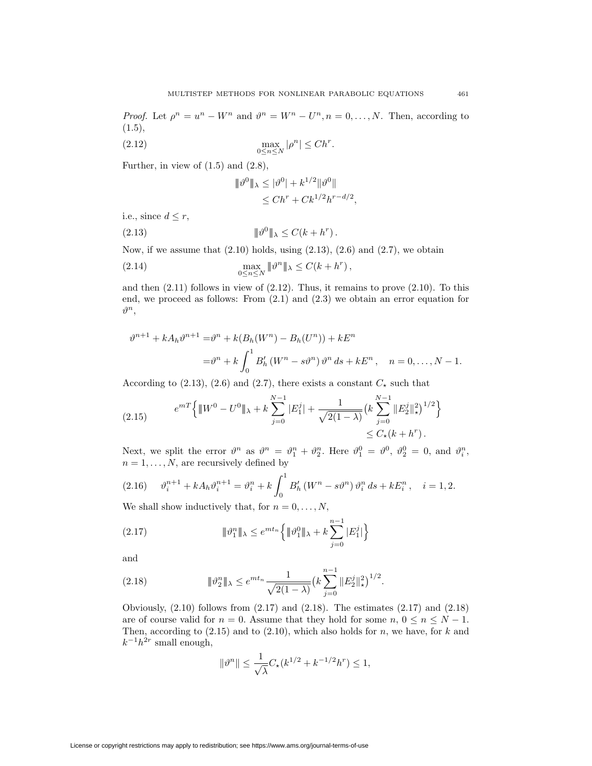*Proof.* Let  $\rho^n = u^n - W^n$  and  $\vartheta^n = W^n - U^n, n = 0, \ldots, N$ . Then, according to  $(1.5),$ 

(2.12) 
$$
\max_{0 \leq n \leq N} |\rho^n| \leq Ch^r.
$$

Further, in view of  $(1.5)$  and  $(2.8)$ ,

$$
\|\vartheta^0\|_{\lambda} \le |\vartheta^0| + k^{1/2} \|\vartheta^0\|
$$
  
\n
$$
\le Ch^r + C k^{1/2} h^{r-d/2},
$$

i.e., since  $d \leq r$ ,

*|||ϑ*<sup>0</sup>*|||<sup>λ</sup> ≤ C*(*k* + *h<sup>r</sup>* (2.13) )*.*

Now, if we assume that  $(2.10)$  holds, using  $(2.13)$ ,  $(2.6)$  and  $(2.7)$ , we obtain

(2.14) 
$$
\max_{0 \leq n \leq N} ||\vartheta^n ||_{\lambda} \leq C(k + h^r),
$$

and then  $(2.11)$  follows in view of  $(2.12)$ . Thus, it remains to prove  $(2.10)$ . To this end, we proceed as follows: From (2.1) and (2.3) we obtain an error equation for *ϑ<sup>n</sup>*,

$$
\vartheta^{n+1} + kA_h\vartheta^{n+1} = \vartheta^n + k(B_h(W^n) - B_h(U^n)) + kE^n
$$
  
=  $\vartheta^n + k \int_0^1 B'_h(W^n - s\vartheta^n) \vartheta^n ds + kE^n$ ,  $n = 0, ..., N - 1$ .

According to (2.13), (2.6) and (2.7), there exists a constant  $C_{\star}$  such that

$$
(2.15) \t e^{mT} \left\{ \|W^0 - U^0\|_{\lambda} + k \sum_{j=0}^{N-1} |E_1^j| + \frac{1}{\sqrt{2(1-\lambda)}} \left(k \sum_{j=0}^{N-1} \|E_2^j\|_{\star}^2\right)^{1/2} \right\} \leq C_{\star}(k + h^r).
$$

Next, we split the error  $\vartheta^n$  as  $\vartheta^n = \vartheta_1^n + \vartheta_2^n$ . Here  $\vartheta_1^0 = \vartheta^0$ ,  $\vartheta_2^0 = 0$ , and  $\vartheta_i^n$ ,  $n = 1, \ldots, N$ , are recursively defined by

*ϑ<sup>n</sup>*+1 *<sup>i</sup>* + *kAhϑ<sup>n</sup>*+1 *<sup>i</sup>* = *ϑ<sup>n</sup> <sup>i</sup>* + *k* Z <sup>1</sup> 0 *B<sup>0</sup> <sup>h</sup>* (*W<sup>n</sup> − sϑ<sup>n</sup>*) *ϑ<sup>n</sup> <sup>i</sup> ds* + *kE<sup>n</sup> <sup>i</sup>* (2.16) *, i* = 1*,* 2*.*

We shall show inductively that, for  $n = 0, \ldots, N$ ,

(2.17) 
$$
\|\vartheta_1^n\|_{\lambda} \le e^{mt_n} \left\{ \|\vartheta_1^0\|_{\lambda} + k \sum_{j=0}^{n-1} |E_1^j| \right\}
$$

and

(2.18) 
$$
\|\vartheta_2^n\|_{\lambda} \le e^{mt_n} \frac{1}{\sqrt{2(1-\lambda)}} \left(k \sum_{j=0}^{n-1} \|E_2^j\|_{\star}^2\right)^{1/2}.
$$

Obviously,  $(2.10)$  follows from  $(2.17)$  and  $(2.18)$ . The estimates  $(2.17)$  and  $(2.18)$ are of course valid for  $n = 0$ . Assume that they hold for some  $n, 0 \le n \le N - 1$ . Then, according to (2.15) and to (2.10), which also holds for *n,* we have, for *k* and  $k^{-1}h^{2r}$  small enough,

$$
\|\vartheta^n\| \le \frac{1}{\sqrt{\lambda}} C_{\star}(k^{1/2} + k^{-1/2}h^r) \le 1,
$$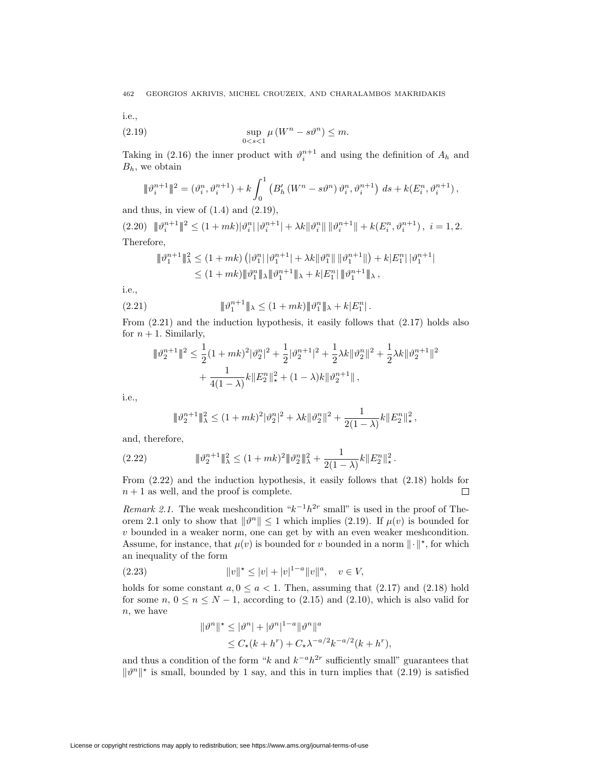i.e.,

(2.19) 
$$
\sup_{0 < s < 1} \mu \left( W^n - s \vartheta^n \right) \leq m.
$$

Taking in (2.16) the inner product with  $\vartheta_i^{n+1}$  and using the definition of  $A_h$  and *Bh,* we obtain

$$
\|\vartheta_i^{n+1}\|^2 = (\vartheta_i^n, \vartheta_i^{n+1}) + k \int_0^1 (B_h'(W^n - s\vartheta^n) \vartheta_i^n, \vartheta_i^{n+1}) ds + k(E_i^n, \vartheta_i^{n+1}),
$$

and thus, in view of  $(1.4)$  and  $(2.19)$ ,

 $(2.20) \quad \|\vartheta_i^{n+1}\|^2 \leq (1+mk)|\vartheta_i^n|\,|\vartheta_i^{n+1}| + \lambda k \|\vartheta_i^n\| \, \|\vartheta_i^{n+1}\| + k(E_i^n, \vartheta_i^{n+1}), \ i = 1, 2.$ Therefore,

$$
\begin{aligned} \|\vartheta_1^{n+1}\|_\lambda^2 &\leq (1+mk) \left( |\vartheta_1^{n}| \, |\vartheta_1^{n+1}| + \lambda k \|\vartheta_1^{n}\| \, \|\vartheta_1^{n+1}\| \right) + k|E_1^{n}| \, |\vartheta_1^{n+1}| \\ &\leq (1+mk) \|\vartheta_1^{n}\|_\lambda \|\vartheta_1^{n+1}\|_\lambda + k|E_1^{n}| \, \|\vartheta_1^{n+1}\|_\lambda \,, \end{aligned}
$$

i.e.,

(2.21) 
$$
\|\vartheta_1^{n+1}\|_{\lambda} \le (1+mk) \|\vartheta_1^{n}\|_{\lambda} + k|E_1^{n}|.
$$

From (2.21) and the induction hypothesis, it easily follows that (2.17) holds also for  $n + 1$ . Similarly,

$$
\|\vartheta_2^{n+1}\|^2 \le \frac{1}{2}(1+mk)^2|\vartheta_2^n|^2 + \frac{1}{2}|\vartheta_2^{n+1}|^2 + \frac{1}{2}\lambda k \|\vartheta_2^n\|^2 + \frac{1}{2}\lambda k \|\vartheta_2^{n+1}\|^2 + \frac{1}{4(1-\lambda)}k\|E_2^n\|_{\star}^2 + (1-\lambda)k\|\vartheta_2^{n+1}\|,
$$

i.e.,

$$
|\!|\!| \vartheta_2^{n+1} |\!|\!|_\lambda^2 \leq (1+mk)^2|\vartheta_2^n|^2 + \lambda k |\!|\vartheta_2^n|\!|^2 + \frac{1}{2(1-\lambda)} k |\!|\!| E_2^n |\!|\!|_\star^2 \,,
$$

and, therefore,

*|||ϑ<sup>n</sup>*+1 <sup>2</sup> *|||*<sup>2</sup> *<sup>λ</sup> ≤* (1 + *mk*) <sup>2</sup>*|||ϑ<sup>n</sup>* <sup>2</sup> *|||*<sup>2</sup> *<sup>λ</sup>* + 1 2(1 *− λ*) *kkE<sup>n</sup>* <sup>2</sup> *k*<sup>2</sup> *?* (2.22) *.*

From (2.22) and the induction hypothesis, it easily follows that (2.18) holds for  $n+1$  as well, and the proof is complete.  $\Box$ 

*Remark 2.1.* The weak meshcondition " $k^{-1}h^{2r}$  small" is used in the proof of Theorem 2.1 only to show that  $\|\theta^n\| \leq 1$  which implies (2.19). If  $\mu(v)$  is bounded for *v* bounded in a weaker norm, one can get by with an even weaker meshcondition. Assume, for instance, that  $\mu(v)$  is bounded for *v* bounded in a norm  $\|\cdot\|^{*}$ , for which an inequality of the form

(2.23) 
$$
||v||^* \le |v| + |v|^{1-a} ||v||^a, \quad v \in V,
$$

holds for some constant  $a, 0 \le a < 1$ . Then, assuming that  $(2.17)$  and  $(2.18)$  hold for some  $n, 0 \le n \le N-1$ , according to (2.15) and (2.10), which is also valid for *n,* we have

$$
\|\vartheta^n\|^* \le |\vartheta^n| + |\vartheta^n|^{1-a} \|\vartheta^n\|^a
$$
  
\n
$$
\le C_\star (k + h^r) + C_\star \lambda^{-a/2} k^{-a/2} (k + h^r),
$$

and thus a condition of the form " $k$  and  $k^{-a}h^{2r}$  sufficiently small" guarantees that  $\|\theta^n\|^*$  is small, bounded by 1 say, and this in turn implies that (2.19) is satisfied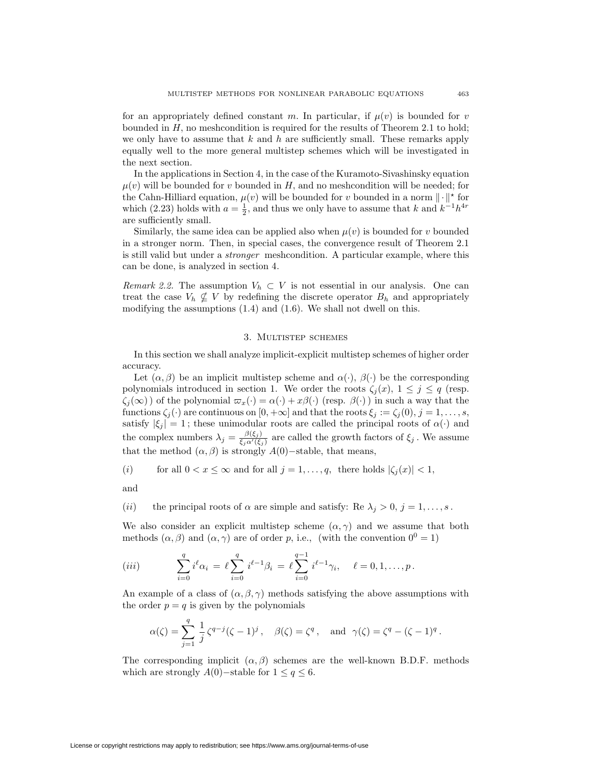for an appropriately defined constant *m*. In particular, if  $\mu(v)$  is bounded for *v* bounded in *H,* no meshcondition is required for the results of Theorem 2.1 to hold; we only have to assume that *k* and *h* are sufficiently small. These remarks apply equally well to the more general multistep schemes which will be investigated in the next section.

In the applications in Section 4, in the case of the Kuramoto-Sivashinsky equation  $\mu(v)$  will be bounded for *v* bounded in *H*, and no meshcondition will be needed; for the Cahn-Hilliard equation,  $\mu(v)$  will be bounded for *v* bounded in a norm  $\|\cdot\|^*$  for which (2.23) holds with  $a = \frac{1}{2}$ , and thus we only have to assume that *k* and  $k^{-1}h^{4r}$ are sufficiently small.

Similarly, the same idea can be applied also when  $\mu(v)$  is bounded for *v* bounded in a stronger norm. Then, in special cases, the convergence result of Theorem 2.1 is still valid but under a *stronger* meshcondition. A particular example, where this can be done, is analyzed in section 4.

*Remark 2.2.* The assumption  $V_h \subset V$  is not essential in our analysis. One can treat the case  $V_h \nsubseteq V$  by redefining the discrete operator  $B_h$  and appropriately modifying the assumptions (1.4) and (1.6). We shall not dwell on this.

## 3. Multistep schemes

In this section we shall analyze implicit-explicit multistep schemes of higher order accuracy.

Let  $(\alpha, \beta)$  be an implicit multistep scheme and  $\alpha(\cdot)$ ,  $\beta(\cdot)$  be the corresponding polynomials introduced in section 1. We order the roots  $\zeta_i(x)$ ,  $1 \leq j \leq q$  (resp.  $\zeta_j(\infty)$ ) of the polynomial  $\overline{\omega}_x(\cdot) = \alpha(\cdot) + x\beta(\cdot)$  (resp.  $\beta(\cdot)$ ) in such a way that the functions  $\zeta_j(\cdot)$  are continuous on  $[0, +\infty]$  and that the roots  $\xi_j := \zeta_j(0), j = 1, \ldots, s$ , satisfy  $|\xi_j| = 1$ ; these unimodular roots are called the principal roots of  $\alpha(\cdot)$  and the complex numbers  $\lambda_j = \frac{\beta(\xi_j)}{\xi_j \alpha'(\xi_j)}$  are called the growth factors of  $\xi_j$ . We assume that the method  $(\alpha, \beta)$  is strongly  $A(0)$ −stable, that means,

(i) for all 
$$
0 < x \leq \infty
$$
 and for all  $j = 1, \ldots, q$ , there holds  $|\zeta_j(x)| < 1$ ,

and

(*ii*) the principal roots of  $\alpha$  are simple and satisfy: Re  $\lambda_j > 0$ ,  $j = 1, \ldots, s$ .

We also consider an explicit multistep scheme  $(\alpha, \gamma)$  and we assume that both methods  $(\alpha, \beta)$  and  $(\alpha, \gamma)$  are of order *p*, i.e., (with the convention  $0^0 = 1$ )

$$
(iii) \qquad \sum_{i=0}^q i^{\ell} \alpha_i \ = \ \ell \sum_{i=0}^q i^{\ell-1} \beta_i \ = \ \ell \sum_{i=0}^{q-1} i^{\ell-1} \gamma_i, \quad \ell = 0, 1, \dots, p \, .
$$

An example of a class of  $(\alpha, \beta, \gamma)$  methods satisfying the above assumptions with the order  $p = q$  is given by the polynomials

$$
\alpha(\zeta) = \sum_{j=1}^{q} \frac{1}{j} \zeta^{q-j} (\zeta - 1)^j, \quad \beta(\zeta) = \zeta^q, \text{ and } \gamma(\zeta) = \zeta^q - (\zeta - 1)^q.
$$

The corresponding implicit  $(\alpha, \beta)$  schemes are the well-known B.D.F. methods which are strongly *A*(0)−stable for  $1 \le q \le 6$ .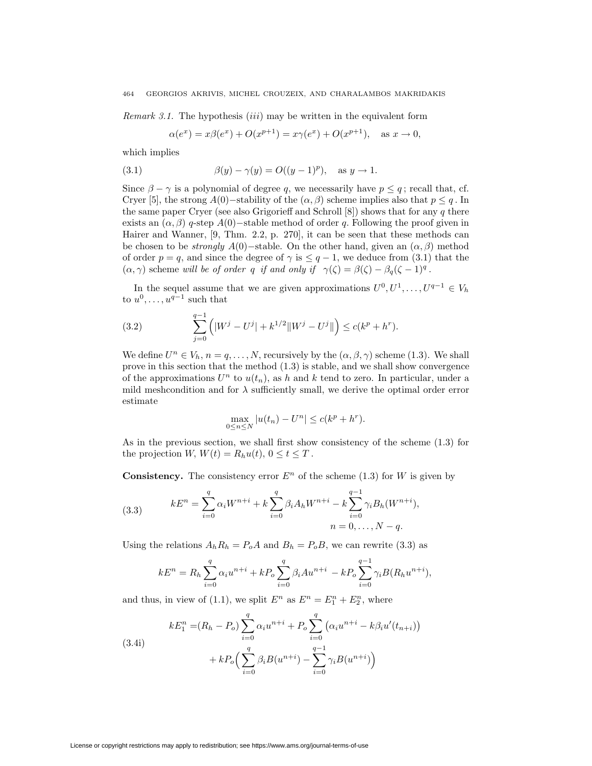*Remark 3.1.* The hypothesis (*iii*) may be written in the equivalent form

$$
\alpha(e^x) = x\beta(e^x) + O(x^{p+1}) = x\gamma(e^x) + O(x^{p+1}), \text{ as } x \to 0,
$$

which implies

(3.1) 
$$
\beta(y) - \gamma(y) = O((y-1)^p), \text{ as } y \to 1.
$$

Since  $\beta - \gamma$  is a polynomial of degree q, we necessarily have  $p \leq q$ ; recall that, cf. Cryer [5], the strong *A*(0)−stability of the  $(\alpha, \beta)$  scheme implies also that  $p \leq q$ . In the same paper Cryer (see also Grigorieff and Schroll [8]) shows that for any *q* there exists an  $(\alpha, \beta)$  *q*-step *A*(0)−stable method of order *q*. Following the proof given in Hairer and Wanner, [9, Thm. 2.2, p. 270], it can be seen that these methods can be chosen to be *strongly*  $A(0)$ −stable. On the other hand, given an  $(\alpha, \beta)$  method of order  $p = q$ , and since the degree of  $\gamma$  is  $\leq q - 1$ , we deduce from (3.1) that the  $(\alpha, \gamma)$  scheme *will be of order q if and only if*  $\gamma(\zeta) = \beta(\zeta) - \beta_q(\zeta - 1)^q$ .

In the sequel assume that we are given approximations  $U^0, U^1, \ldots, U^{q-1} \in V_h$ to  $u^0, \ldots, u^{q-1}$  such that

(3.2) 
$$
\sum_{j=0}^{q-1} \left( |W^j - U^j| + k^{1/2} ||W^j - U^j|| \right) \le c(k^p + h^r).
$$

We define  $U^n \in V_h$ ,  $n = q, \ldots, N$ , recursively by the  $(\alpha, \beta, \gamma)$  scheme (1.3). We shall prove in this section that the method (1.3) is stable, and we shall show convergence of the approximations  $U^n$  to  $u(t_n)$ , as *h* and *k* tend to zero. In particular, under a mild meshcondition and for  $\lambda$  sufficiently small, we derive the optimal order error estimate

$$
\max_{0 \le n \le N} |u(t_n) - U^n| \le c(k^p + h^r).
$$

As in the previous section, we shall first show consistency of the scheme (1.3) for the projection *W*,  $W(t) = R_h u(t), 0 \le t \le T$ .

**Consistency.** The consistency error  $E^n$  of the scheme (1.3) for *W* is given by

(3.3) 
$$
kE^{n} = \sum_{i=0}^{q} \alpha_{i} W^{n+i} + k \sum_{i=0}^{q} \beta_{i} A_{h} W^{n+i} - k \sum_{i=0}^{q-1} \gamma_{i} B_{h} (W^{n+i}),
$$

$$
n = 0, ..., N-q.
$$

Using the relations  $A_h R_h = P_o A$  and  $B_h = P_o B$ , we can rewrite (3.3) as

$$
kE^{n} = R_{h} \sum_{i=0}^{q} \alpha_{i} u^{n+i} + k P_{o} \sum_{i=0}^{q} \beta_{i} A u^{n+i} - k P_{o} \sum_{i=0}^{q-1} \gamma_{i} B(R_{h} u^{n+i}),
$$

and thus, in view of (1.1), we split  $E^n$  as  $E^n = E_1^n + E_2^n$ , where

(3.4i)  

$$
kE_1^n = (R_h - P_o) \sum_{i=0}^q \alpha_i u^{n+i} + P_o \sum_{i=0}^q (\alpha_i u^{n+i} - k \beta_i u'(t_{n+i})) + k P_o \left( \sum_{i=0}^q \beta_i B(u^{n+i}) - \sum_{i=0}^{q-1} \gamma_i B(u^{n+i}) \right)
$$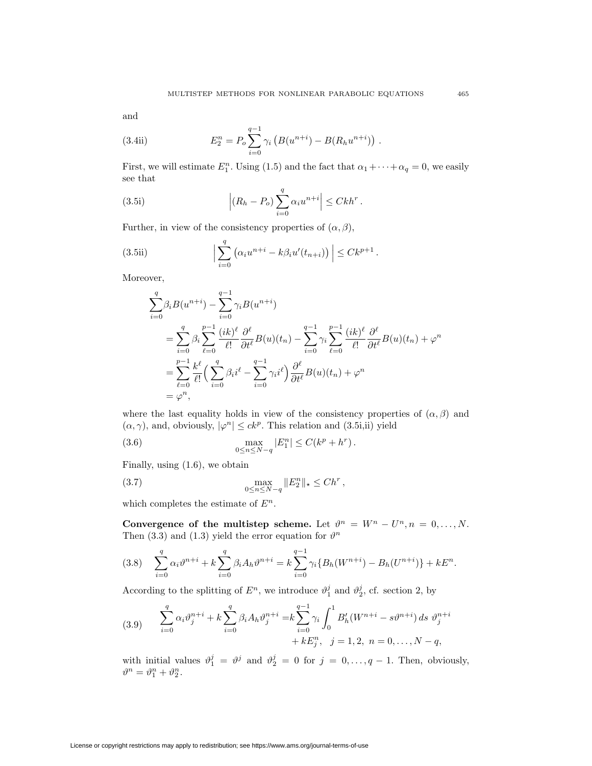and

(3.4ii) 
$$
E_2^n = P_o \sum_{i=0}^{q-1} \gamma_i \left( B(u^{n+i}) - B(R_h u^{n+i}) \right).
$$

First, we will estimate  $E_1^n$ . Using (1.5) and the fact that  $\alpha_1 + \cdots + \alpha_q = 0$ , we easily see that

(3.5i) 
$$
\left| (R_h - P_o) \sum_{i=0}^q \alpha_i u^{n+i} \right| \leq C k h^r.
$$

Further, in view of the consistency properties of  $(\alpha, \beta)$ ,

(3.5ii) 
$$
\left| \sum_{i=0}^q \left( \alpha_i u^{n+i} - k \beta_i u'(t_{n+i}) \right) \right| \leq C k^{p+1}.
$$

Moreover,

$$
\sum_{i=0}^{q} \beta_i B(u^{n+i}) - \sum_{i=0}^{q-1} \gamma_i B(u^{n+i})
$$
\n
$$
= \sum_{i=0}^{q} \beta_i \sum_{\ell=0}^{p-1} \frac{(ik)^{\ell}}{\ell!} \frac{\partial^{\ell}}{\partial t^{\ell}} B(u)(t_n) - \sum_{i=0}^{q-1} \gamma_i \sum_{\ell=0}^{p-1} \frac{(ik)^{\ell}}{\ell!} \frac{\partial^{\ell}}{\partial t^{\ell}} B(u)(t_n) + \varphi^n
$$
\n
$$
= \sum_{\ell=0}^{p-1} \frac{k^{\ell}}{\ell!} \Big( \sum_{i=0}^{q} \beta_i i^{\ell} - \sum_{i=0}^{q-1} \gamma_i i^{\ell} \Big) \frac{\partial^{\ell}}{\partial t^{\ell}} B(u)(t_n) + \varphi^n
$$
\n
$$
= \varphi^n,
$$

where the last equality holds in view of the consistency properties of  $(\alpha, \beta)$  and  $(\alpha, \gamma)$ , and, obviously,  $|\varphi^n| \leq ck^p$ . This relation and (3.5i,ii) yield

(3.6) 
$$
\max_{0 \le n \le N-q} |E_1^n| \le C(k^p + h^r).
$$

Finally, using (1.6), we obtain

(3.7) 
$$
\max_{0 \le n \le N-q} \|E_2^n\|_{\star} \le Ch^r,
$$

which completes the estimate of *E<sup>n</sup>.*

**Convergence of the multistep scheme.** Let  $\vartheta^n = W^n - U^n, n = 0, \ldots, N$ . Then (3.3) and (1.3) yield the error equation for  $\vartheta^n$ 

$$
(3.8) \quad \sum_{i=0}^{q} \alpha_i \vartheta^{n+i} + k \sum_{i=0}^{q} \beta_i A_h \vartheta^{n+i} = k \sum_{i=0}^{q-1} \gamma_i \{ B_h(W^{n+i}) - B_h(U^{n+i}) \} + kE^n.
$$

According to the splitting of  $E^n$ , we introduce  $\vartheta_1^j$  and  $\vartheta_2^j$ , cf. section 2, by

(3.9) 
$$
\sum_{i=0}^{q} \alpha_i \vartheta_j^{n+i} + k \sum_{i=0}^{q} \beta_i A_h \vartheta_j^{n+i} = k \sum_{i=0}^{q-1} \gamma_i \int_0^1 B'_h (W^{n+i} - s \vartheta^{n+i}) ds \vartheta_j^{n+i} + k E_j^n, \quad j = 1, 2, n = 0, ..., N - q,
$$

with initial values  $\vartheta_1^j = \vartheta^j$  and  $\vartheta_2^j = 0$  for  $j = 0, \ldots, q-1$ . Then, obviously,  $\vartheta^n = \vartheta_1^n + \vartheta_2^n$ .

License or copyright restrictions may apply to redistribution; see https://www.ams.org/journal-terms-of-use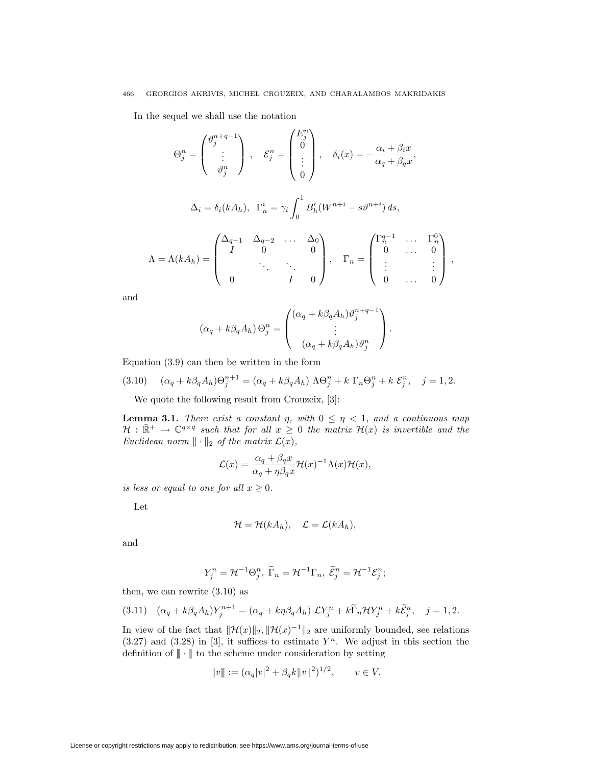In the sequel we shall use the notation

$$
\Theta_j^n = \begin{pmatrix} \vartheta_j^{n+q-1} \\ \vdots \\ \vartheta_j^n \end{pmatrix}, \quad \mathcal{E}_j^n = \begin{pmatrix} E_j^n \\ 0 \\ \vdots \\ 0 \end{pmatrix}, \quad \delta_i(x) = -\frac{\alpha_i + \beta_i x}{\alpha_q + \beta_q x},
$$

$$
\Delta_i = \delta_i(kA_h), \ \Gamma_n^i = \gamma_i \int_0^1 B'_h(W^{n+i} - s\vartheta^{n+i}) ds,
$$

$$
\Lambda = \Lambda(kA_h) = \begin{pmatrix} \Delta_{q-1} & \Delta_{q-2} & \dots & \Delta_0 \\ I & 0 & & 0 \\ & \ddots & \ddots & \ddots \\ 0 & & I & 0 \end{pmatrix}, \quad \Gamma_n = \begin{pmatrix} \Gamma_n^{q-1} & \dots & \Gamma_n^0 \\ 0 & \dots & 0 \\ \vdots & & \vdots \\ 0 & \dots & 0 \end{pmatrix},
$$

and

$$
(\alpha_q + k\beta_q A_h) \Theta_j^n = \begin{pmatrix} (\alpha_q + k\beta_q A_h) \vartheta_j^{n+q-1} \\ \vdots \\ (\alpha_q + k\beta_q A_h) \vartheta_j^n \end{pmatrix}.
$$

Equation (3.9) can then be written in the form

(3.10) 
$$
(\alpha_q + k\beta_q A_h)\Theta_j^{n+1} = (\alpha_q + k\beta_q A_h) \Lambda \Theta_j^n + k \Gamma_n \Theta_j^n + k \mathcal{E}_j^n, \quad j = 1, 2.
$$

We quote the following result from Crouzeix, [3]:

**Lemma 3.1.** *There exist a constant η, with*  $0 \leq \eta < 1$ *, and a continuous map*  $H : \mathbb{R}^+ \to \mathbb{C}^{q \times q}$  *such that for all*  $x \geq 0$  *the matrix*  $H(x)$  *is invertible and the Euclidean norm*  $\|\cdot\|_2$  *of the matrix*  $\mathcal{L}(x)$ *,* 

$$
\mathcal{L}(x) = \frac{\alpha_q + \beta_q x}{\alpha_q + \eta \beta_q x} \mathcal{H}(x)^{-1} \Lambda(x) \mathcal{H}(x),
$$

*is less or equal to one for all*  $x \geq 0$ *.* 

Let

$$
\mathcal{H} = \mathcal{H}(kA_h), \quad \mathcal{L} = \mathcal{L}(kA_h),
$$

and

$$
Y_j^n = \mathcal{H}^{-1} \Theta_j^n, \ \widetilde{\Gamma}_n = \mathcal{H}^{-1} \Gamma_n, \ \widetilde{\mathcal{E}}_j^n = \mathcal{H}^{-1} \mathcal{E}_j^n;
$$

then, we can rewrite (3.10) as

$$
(3.11) \quad (\alpha_q + k\beta_q A_h)Y_j^{n+1} = (\alpha_q + k\eta\beta_q A_h) \mathcal{L}Y_j^n + k\widetilde{\Gamma}_n \mathcal{H}Y_j^n + k\widetilde{\mathcal{E}}_j^n, \quad j = 1, 2.
$$

In view of the fact that  $\|\mathcal{H}(x)\|_2$ ,  $\|\mathcal{H}(x)^{-1}\|_2$  are uniformly bounded, see relations  $(3.27)$  and  $(3.28)$  in [3], it suffices to estimate  $Y<sup>n</sup>$ . We adjust in this section the definition of  $\|\cdot\|$  to the scheme under consideration by setting

$$
||v|| := (\alpha_q |v|^2 + \beta_q k ||v||^2)^{1/2}, \qquad v \in V.
$$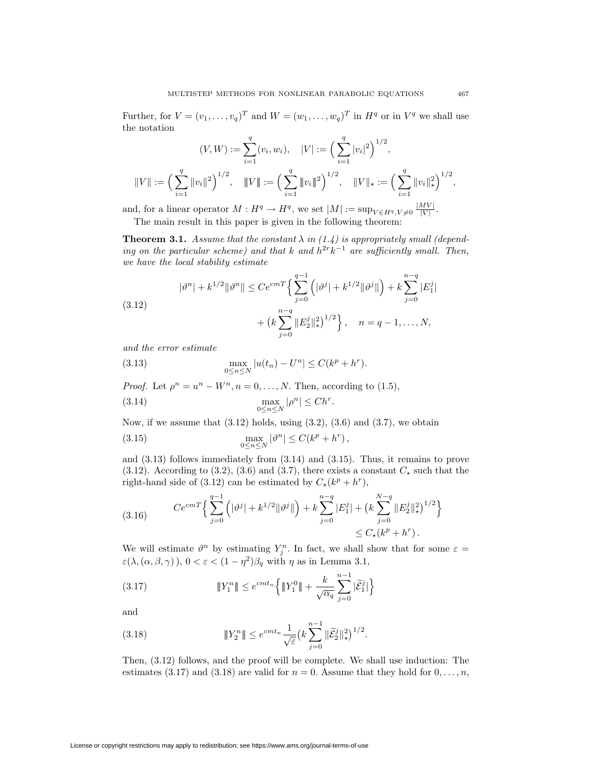Further, for  $V = (v_1, \ldots, v_q)^T$  and  $W = (w_1, \ldots, w_q)^T$  in  $H^q$  or in  $V^q$  we shall use the notation

$$
(V, W) := \sum_{i=1}^{q} (v_i, w_i), \quad |V| := \left(\sum_{i=1}^{q} |v_i|^2\right)^{1/2},
$$
  

$$
||V|| := \left(\sum_{i=1}^{q} ||v_i||^2\right)^{1/2}, \quad ||V|| := \left(\sum_{i=1}^{q} ||v_i||^2\right)^{1/2}, \quad ||V||_{\star} := \left(\sum_{i=1}^{q} ||v_i||_{\star}^2\right)^{1/2},
$$

and, for a linear operator  $M: H^q \to H^q$ , we set  $|M| := \sup_{V \in H^q, V \neq 0} \frac{|MV|}{|V|}$ . The main result in this paper is given in the following theorem:

**Theorem 3.1.** *Assume that the constant*  $\lambda$  *in* (1.4) *is appropriately small* (depend*ing on the particular scheme) and that k and*  $h^{2r}k^{-1}$  *are sufficiently small. Then, we have the local stability estimate*

$$
|\vartheta^n| + k^{1/2} \|\vartheta^n\| \le Ce^{cmT} \Big\{ \sum_{j=0}^{q-1} \left( |\vartheta^j| + k^{1/2} \|\vartheta^j\| \right) + k \sum_{j=0}^{n-q} |E_1^j| + \left( k \sum_{j=0}^{n-q} \|E_2^j\|_{\star}^2 \right)^{1/2} \Big\}, \quad n = q-1, ..., N,
$$

*and the error estimate*

(3.13) 
$$
\max_{0 \le n \le N} |u(t_n) - U^n| \le C(k^p + h^r).
$$

*Proof.* Let  $\rho^n = u^n - W^n$ ,  $n = 0, \ldots, N$ . Then, according to (1.5),

(3.14) 
$$
\max_{0 \leq n \leq N} |\rho^n| \leq Ch^r.
$$

Now, if we assume that  $(3.12)$  holds, using  $(3.2)$ ,  $(3.6)$  and  $(3.7)$ , we obtain

(3.15) 
$$
\max_{0 \leq n \leq N} |\vartheta^n| \leq C(k^p + h^r),
$$

and (3.13) follows immediately from (3.14) and (3.15). Thus, it remains to prove (3.12). According to (3.2), (3.6) and (3.7), there exists a constant  $C_{\star}$  such that the right-hand side of (3.12) can be estimated by  $C_{\star}(k^p + h^r)$ ,

$$
(3.16) \qquad C e^{cm} \left\{ \sum_{j=0}^{q-1} \left( |\vartheta^j| + k^{1/2} ||\vartheta^j|| \right) + k \sum_{j=0}^{n-q} |E_1^j| + \left( k \sum_{j=0}^{N-q} ||E_2^j||_{\star}^2 \right)^{1/2} \right\} \\ \leq C_{\star} (k^p + h^r) \, .
$$

We will estimate  $\vartheta^n$  by estimating  $Y_i^n$ . In fact, we shall show that for some  $\varepsilon =$ *ε*(*λ,*(*α, β, γ*) )*,* 0 *<ε<* (1 *− η*<sup>2</sup>)*β<sup>q</sup>* with *η* as in Lemma 3.1,

(3.17) 
$$
\|Y_1^n\| \le e^{cmt_n} \left\{ \|Y_1^0\| + \frac{k}{\sqrt{\alpha_q}} \sum_{j=0}^{n-1} |\tilde{\mathcal{E}}_1^j| \right\}
$$

and

(3.18) 
$$
\|Y_2^n\| \le e^{cmt_n} \frac{1}{\sqrt{\varepsilon}} \left(k \sum_{j=0}^{n-1} \|\widetilde{\mathcal{E}}_2^j\|_{\star}^2\right)^{1/2}.
$$

Then, (3.12) follows, and the proof will be complete. We shall use induction: The estimates (3.17) and (3.18) are valid for  $n = 0$ . Assume that they hold for  $0, \ldots, n$ ,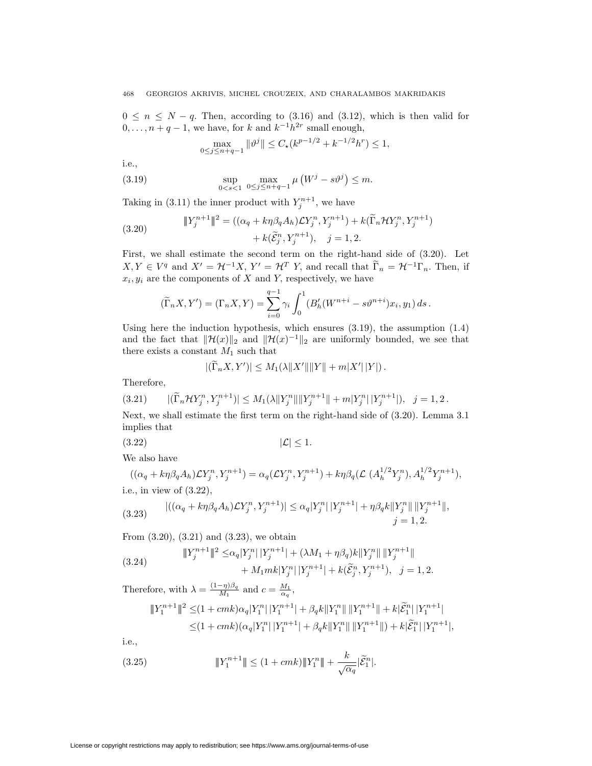$0 \leq n \leq N - q$ . Then, according to (3.16) and (3.12), which is then valid for  $0, \ldots, n + q - 1$ , we have, for *k* and  $k^{-1}h^{2r}$  small enough,

$$
\max_{0 \le j \le n+q-1} \|\vartheta^j\| \le C_\star (k^{p-1/2} + k^{-1/2} h^r) \le 1,
$$

i.e.,

(3.19) 
$$
\sup_{0 < s < 1} \max_{0 \le j \le n+q-1} \mu \left( W^j - s \vartheta^j \right) \le m.
$$

Taking in (3.11) the inner product with  $Y_i^{n+1}$ , we have

(3.20) 
$$
\|Y_j^{n+1}\|^2 = ((\alpha_q + k\eta\beta_q A_h) \mathcal{L} Y_j^n, Y_j^{n+1}) + k(\widetilde{\Gamma}_n \mathcal{H} Y_j^n, Y_j^{n+1}) + k(\widetilde{\mathcal{E}}_j^n, Y_j^{n+1}), \quad j = 1, 2.
$$

First, we shall estimate the second term on the right-hand side of (3.20). Let  $X, Y \in V^q$  and  $X' = \mathcal{H}^{-1}X, Y' = \mathcal{H}^T Y$ , and recall that  $\widetilde{\Gamma}_n = \mathcal{H}^{-1}\Gamma_n$ . Then, if  $x_i, y_i$  are the components of *X* and *Y*, respectively, we have

$$
(\widetilde{\Gamma}_n X, Y') = (\Gamma_n X, Y) = \sum_{i=0}^{q-1} \gamma_i \int_0^1 (B'_h(W^{n+i} - s\vartheta^{n+i})x_i, y_1) ds.
$$

Using here the induction hypothesis, which ensures  $(3.19)$ , the assumption  $(1.4)$ and the fact that  $\|\mathcal{H}(x)\|_2$  and  $\|\mathcal{H}(x)^{-1}\|_2$  are uniformly bounded, we see that there exists a constant  $M_1$  such that

$$
|(\widetilde{\Gamma}_n X, Y')| \le M_1(\lambda ||X'|| ||Y|| + m|X'||Y|).
$$

Therefore,

$$
(3.21) \qquad |(\widetilde{\Gamma}_n \mathcal{H} Y_j^n, Y_j^{n+1})| \leq M_1(\lambda \|Y_j^n\| \|Y_j^{n+1}\| + m|Y_j^n|\, |Y_j^{n+1}|), \quad j = 1, 2 \, .
$$

Next, we shall estimate the first term on the right-hand side of (3.20). Lemma 3.1 implies that

$$
(3.22) \t\t |\mathcal{L}| \le 1.
$$

We also have

$$
((\alpha_q + k\eta\beta_q A_h)\mathcal{L}Y_j^n, Y_j^{n+1}) = \alpha_q(\mathcal{L}Y_j^n, Y_j^{n+1}) + k\eta\beta_q(\mathcal{L} (A_h^{1/2}Y_j^n), A_h^{1/2}Y_j^{n+1}),
$$
  
i.e., in view of (3.22),  

$$
|((\alpha_{n+1}R_nA_n)(YY_nY^{n+1})| < \alpha_n|Y_n^n||Y^{n+1}| + n\beta_nk||Y^n||||Y^{n+1}||
$$

(3.23) 
$$
|((\alpha_q + k\eta\beta_q A_h)\mathcal{L}Y_j^n, Y_j^{n+1})| \leq \alpha_q |Y_j^n| |Y_j^{n+1}| + \eta\beta_q k \|Y_j^n\| \|Y_j^{n+1}\|,
$$
  
  $j = 1, 2.$ 

From (3.20), (3.21) and (3.23), we obtain

(3.24) 
$$
\|Y_j^{n+1}\|^2 \leq \alpha_q |Y_j^n| |Y_j^{n+1}| + (\lambda M_1 + \eta \beta_q) k \|Y_j^n\| \|Y_j^{n+1}\| + M_1 m k |Y_j^n| |Y_j^{n+1}| + k(\tilde{\mathcal{E}}_j^n, Y_j^{n+1}), \quad j = 1, 2.
$$

Therefore, with  $\lambda = \frac{(1-\eta)\beta_q}{M_1}$  and  $c = \frac{M_1}{\alpha_q}$ ,

$$
\begin{aligned} \|Y_1^{n+1}\|^2 &\leq & (1+cmk)\alpha_q|Y_1^n|\,|Y_1^{n+1}|+\beta_q k\|Y_1^n\|\,\|Y_1^{n+1}\|+k|\widetilde{\mathcal{E}}_1^n|\,|Y_1^{n+1}|\\ &\leq & (1+cmk)(\alpha_q|Y_1^n|\,|Y_1^{n+1}|+\beta_q k\|Y_1^n\|\,\|Y_1^{n+1}\|)+k|\widetilde{\mathcal{E}}_1^n|\,|Y_1^{n+1}|, \end{aligned}
$$

i.e.,

(3.25) 
$$
\|Y_1^{n+1}\| \le (1 + cmk) \|Y_1^n\| + \frac{k}{\sqrt{\alpha_q}} |\tilde{\mathcal{E}}_1^n|.
$$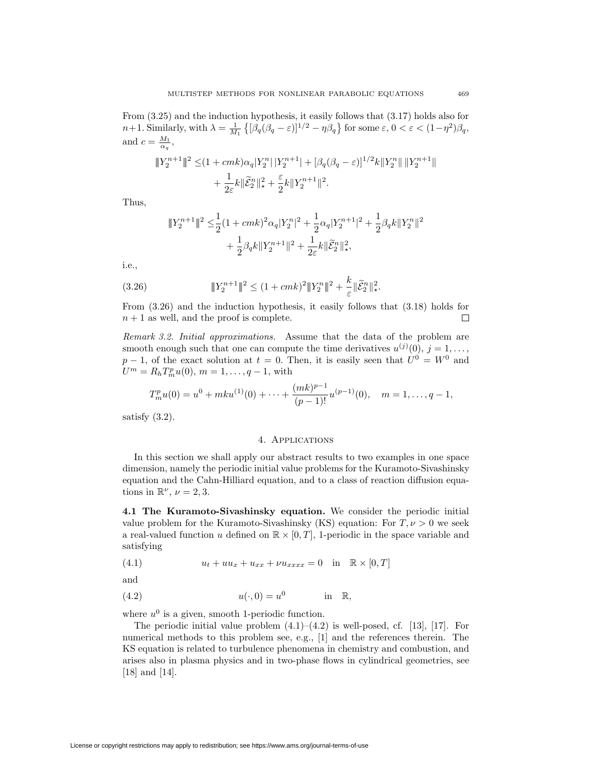From (3.25) and the induction hypothesis, it easily follows that (3.17) holds also for  $n+1$ . Similarly, with  $\lambda = \frac{1}{M_1} \left\{ \left[ \beta_q(\beta_q - \varepsilon) \right]^{1/2} - \eta \beta_q \right\}$  for some  $\varepsilon, 0 < \varepsilon < (1-\eta^2)\beta_q$ , and  $c = \frac{M_1}{\alpha_q}$ ,

$$
\begin{aligned} \Vert Y_{2}^{n+1}\Vert^{2} & \leq & (1+cmk)\alpha_{q}|Y_{2}^{n}|\,|Y_{2}^{n+1}|+[\beta_{q}(\beta_{q}-\varepsilon)]^{1/2}k\Vert Y_{2}^{n}\Vert\,\Vert Y_{2}^{n+1}\Vert \\ & +\frac{1}{2\varepsilon}k\Vert\widetilde{\mathcal{E}}_{2}^{n}\Vert_{\star}^{2}+\frac{\varepsilon}{2}k\Vert Y_{2}^{n+1}\Vert^{2}. \end{aligned}
$$

Thus,

$$
||Y_2^{n+1}||^2 \leq \frac{1}{2}(1+cmk)^2\alpha_q|Y_2^{n}|^2 + \frac{1}{2}\alpha_q|Y_2^{n+1}|^2 + \frac{1}{2}\beta_qk||Y_2^{n}||^2
$$
  
+ 
$$
\frac{1}{2}\beta_qk||Y_2^{n+1}||^2 + \frac{1}{2\varepsilon}k||\widetilde{\mathcal{E}}_2^{n}||_*^2,
$$

i.e.,

(3.26) 
$$
\|Y_2^{n+1}\|^2 \le (1 + cmk)^2 \|Y_2^n\|^2 + \frac{k}{\varepsilon} \|\widetilde{\mathcal{E}}_2^n\|_{\star}^2.
$$

From (3.26) and the induction hypothesis, it easily follows that (3.18) holds for  $n+1$  as well, and the proof is complete. П

*Remark 3.2. Initial approximations.* Assume that the data of the problem are smooth enough such that one can compute the time derivatives  $u^{(j)}(0), j = 1, \ldots$ , *p* − 1, of the exact solution at *t* = 0. Then, it is easily seen that  $U^{0} = W^{0}$  and  $U^m = R_h T_m^p u(0), m = 1, \ldots, q-1$ , with

$$
T_m^p u(0) = u^0 + mku^{(1)}(0) + \dots + \frac{(mk)^{p-1}}{(p-1)!} u^{(p-1)}(0), \quad m = 1, \dots, q-1,
$$

satisfy  $(3.2)$ .

## 4. Applications

In this section we shall apply our abstract results to two examples in one space dimension, namely the periodic initial value problems for the Kuramoto-Sivashinsky equation and the Cahn-Hilliard equation, and to a class of reaction diffusion equations in  $\mathbb{R}^{\nu}$ ,  $\nu = 2, 3$ .

**4.1 The Kuramoto-Sivashinsky equation.** We consider the periodic initial value problem for the Kuramoto-Sivashinsky (KS) equation: For  $T, \nu > 0$  we seek a real-valued function *u* defined on  $\mathbb{R} \times [0, T]$ , 1-periodic in the space variable and satisfying

(4.1) 
$$
u_t + uu_x + u_{xx} + \nu u_{xxxx} = 0 \text{ in } \mathbb{R} \times [0, T]
$$

and

$$
(4.2) \t\t u(\cdot,0) = u^0 \t\t \text{in} \t \mathbb{R},
$$

where  $u^0$  is a given, smooth 1-periodic function.

The periodic initial value problem  $(4.1)$ – $(4.2)$  is well-posed, cf. [13], [17]. For numerical methods to this problem see, e.g., [1] and the references therein. The KS equation is related to turbulence phenomena in chemistry and combustion, and arises also in plasma physics and in two-phase flows in cylindrical geometries, see [18] and [14].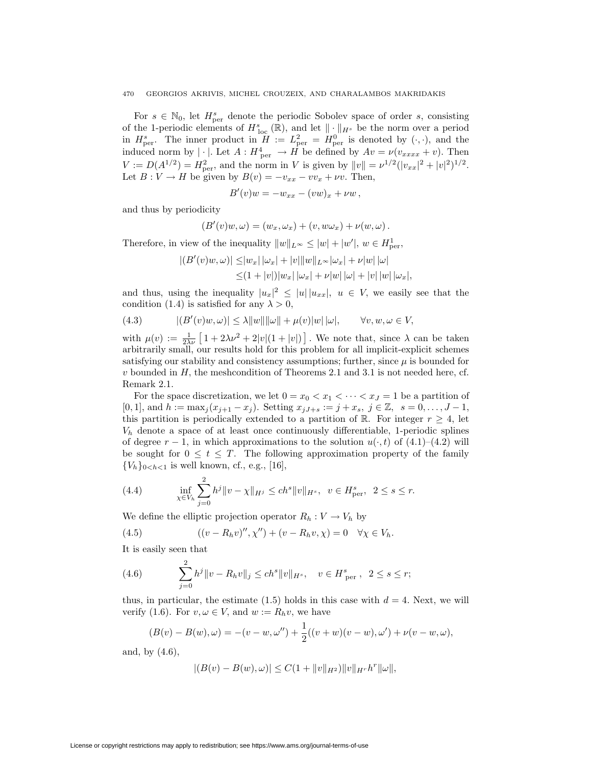### 470 GEORGIOS AKRIVIS, MICHEL CROUZEIX, AND CHARALAMBOS MAKRIDAKIS

For  $s \in \mathbb{N}_0$ , let  $H_{\text{per}}^s$  denote the periodic Sobolev space of order *s*, consisting of the 1-periodic elements of  $H_{\text{loc}}^{s}(\mathbb{R})$ , and let  $\|\cdot\|_{H^{s}}$  be the norm over a period in  $H_{\text{per}}^s$ . The inner product in  $H := L_{\text{per}}^2 = H_{\text{per}}^0$  is denoted by  $(\cdot, \cdot)$ , and the induced norm by  $|\cdot|$ *.* Let  $A: H^4_{per} \to \overline{H}$  be defined by  $Av = \nu(v_{xxxx} + v)$ *.* Then  $V := D(A^{1/2}) = H_{\text{per}}^2$ , and the norm in V is given by  $||v|| = \nu^{1/2} (|v_{xx}|^2 + |v|^2)^{1/2}$ . Let  $B: V \to H$  be given by  $B(v) = -v_{xx} - vv_x + \nu v$ . Then,

$$
B'(v)w = -w_{xx} - (vw)_x + \nu w,
$$

and thus by periodicity

$$
(B'(v)w, \omega) = (w_x, \omega_x) + (v, w\omega_x) + \nu(w, \omega).
$$

Therefore, in view of the inequality  $||w||_{L^{\infty}} \leq |w| + |w'|$ ,  $w \in H^1_{\text{per}}$ ,

$$
\begin{aligned} |(B'(v)w,\omega)|\leq&|w_x|\,|\omega_x|+|v|\|w\|_{L^\infty}|\omega_x|+\nu|w|\,|\omega|\\ \leq& (1+|v|)|w_x|\,|\omega_x|+\nu|w|\,|\omega|+|v|\,|w|\,|\omega_x|, \end{aligned}
$$

and thus, using the inequality  $|u_x|^2 \leq |u||u_{xx}|$ ,  $u \in V$ , we easily see that the condition (1.4) is satisfied for any  $\lambda > 0$ ,

(4.3) 
$$
|(B'(v)w, \omega)| \le \lambda ||w|| ||\omega|| + \mu(v)|w|| |\omega|, \quad \forall v, w, \omega \in V,
$$

with  $\mu(v) := \frac{1}{2\lambda v} \left[ 1 + 2\lambda v^2 + 2|v|(1+|v|) \right]$ . We note that, since  $\lambda$  can be taken arbitrarily small, our results hold for this problem for all implicit-explicit schemes satisfying our stability and consistency assumptions; further, since  $\mu$  is bounded for *v* bounded in *H,* the meshcondition of Theorems 2.1 and 3.1 is not needed here, cf. Remark 2.1.

For the space discretization, we let  $0 = x_0 < x_1 < \cdots < x_J = 1$  be a partition of  $[0,1]$ , and  $h := \max_j (x_{j+1} - x_j)$ . Setting  $x_{jJ+s} := j + x_s$ ,  $j \in \mathbb{Z}$ ,  $s = 0, \ldots, J-1$ , this partition is periodically extended to a partition of R. For integer  $r \geq 4$ , let  $V_h$  denote a space of at least once continuously differentiable, 1-periodic splines of degree  $r - 1$ , in which approximations to the solution  $u(\cdot, t)$  of  $(4.1)$ – $(4.2)$  will be sought for  $0 \le t \le T$ . The following approximation property of the family  ${V_h}_{0 \le h \le 1}$  is well known, cf., e.g., [16],

(4.4) 
$$
\inf_{\chi \in V_h} \sum_{j=0}^2 h^j \|v - \chi\|_{H^j} \le ch^s \|v\|_{H^s}, \ \ v \in H^s_{\text{per}}, \ 2 \le s \le r.
$$

We define the elliptic projection operator  $R_h: V \to V_h$  by

(4.5) 
$$
((v - R_h v)'', \chi'') + (v - R_h v, \chi) = 0 \quad \forall \chi \in V_h.
$$

It is easily seen that

(4.6) 
$$
\sum_{j=0}^{2} h^j \|v - R_h v\|_j \leq ch^s \|v\|_{H^s}, \quad v \in H^s_{\text{per}}, \quad 2 \leq s \leq r;
$$

thus, in particular, the estimate  $(1.5)$  holds in this case with  $d = 4$ . Next, we will verify (1.6). For  $v, \omega \in V$ , and  $w := R_h v$ , we have

$$
(B(v) - B(w), \omega) = -(v - w, \omega'') + \frac{1}{2}((v + w)(v - w), \omega') + \nu(v - w, \omega),
$$

and, by (4.6),

$$
|(B(v) - B(w), \omega)| \leq C(1 + \|v\|_{H^2}) ||v||_{H^r} h^r ||\omega||,
$$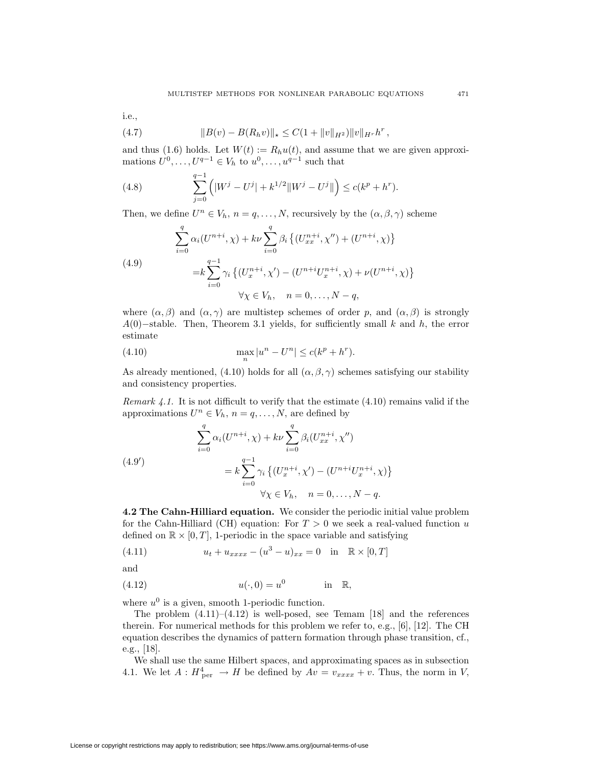i.e.,

(4.7) 
$$
||B(v) - B(R_h v)||_* \leq C(1 + ||v||_{H^2})||v||_{H^r}h^r,
$$

and thus (1.6) holds. Let  $W(t) := R_hu(t)$ , and assume that we are given approximations  $U^0, \ldots, U^{q-1} \in V_h$  to  $u^0, \ldots, u^{q-1}$  such that

(4.8) 
$$
\sum_{j=0}^{q-1} (|W^j - U^j| + k^{1/2} ||W^j - U^j||) \le c(k^p + h^r).
$$

Then, we define  $U^n \in V_h$ ,  $n = q, ..., N$ , recursively by the  $(\alpha, \beta, \gamma)$  scheme

(4.9)  
\n
$$
\sum_{i=0}^{q} \alpha_i (U^{n+i}, \chi) + k\nu \sum_{i=0}^{q} \beta_i \left\{ (U^{n+i}_{xx}, \chi'') + (U^{n+i}, \chi) \right\}
$$
\n
$$
= k \sum_{i=0}^{q-1} \gamma_i \left\{ (U^{n+i}_{x}, \chi') - (U^{n+i} U^{n+i}_{x}, \chi) + \nu (U^{n+i}, \chi) \right\}
$$
\n
$$
\forall \chi \in V_h, \quad n = 0, \dots, N - q,
$$

where  $(\alpha, \beta)$  and  $(\alpha, \gamma)$  are multistep schemes of order *p*, and  $(\alpha, \beta)$  is strongly *A*(0)*−*stable. Then, Theorem 3.1 yields, for sufficiently small *k* and *h,* the error estimate

(4.10) 
$$
\max_{n} |u^{n} - U^{n}| \le c(k^{p} + h^{r}).
$$

As already mentioned, (4.10) holds for all  $(\alpha, \beta, \gamma)$  schemes satisfying our stability and consistency properties.

*Remark 4.1.* It is not difficult to verify that the estimate (4.10) remains valid if the approximations  $U^n \in V_h$ ,  $n = q, \ldots, N$ , are defined by

(4.9')  

$$
\sum_{i=0}^{q} \alpha_i (U^{n+i}, \chi) + k\nu \sum_{i=0}^{q} \beta_i (U_{xx}^{n+i}, \chi'')
$$

$$
= k \sum_{i=0}^{q-1} \gamma_i \{ (U_x^{n+i}, \chi') - (U^{n+i} U_x^{n+i}, \chi) \}
$$

$$
\forall \chi \in V_h, \quad n = 0, ..., N-q.
$$

**4.2 The Cahn-Hilliard equation.** We consider the periodic initial value problem for the Cahn-Hilliard (CH) equation: For  $T > 0$  we seek a real-valued function *u* defined on  $\mathbb{R} \times [0, T]$ , 1-periodic in the space variable and satisfying

(4.11) 
$$
u_t + u_{xxxx} - (u^3 - u)_{xx} = 0 \text{ in } \mathbb{R} \times [0, T]
$$

and

$$
(4.12) \t\t u(\cdot,0) = u^0 \t\t \text{in} \t \mathbb{R},
$$

where  $u^0$  is a given, smooth 1-periodic function.

The problem  $(4.11)$ – $(4.12)$  is well-posed, see Temam [18] and the references therein. For numerical methods for this problem we refer to, e.g., [6], [12]. The CH equation describes the dynamics of pattern formation through phase transition, cf., e.g., [18].

We shall use the same Hilbert spaces, and approximating spaces as in subsection 4.1. We let  $A: H^4_{per} \rightarrow H$  be defined by  $Av = v_{xxxx} + v$ . Thus, the norm in *V*,

License or copyright restrictions may apply to redistribution; see https://www.ams.org/journal-terms-of-use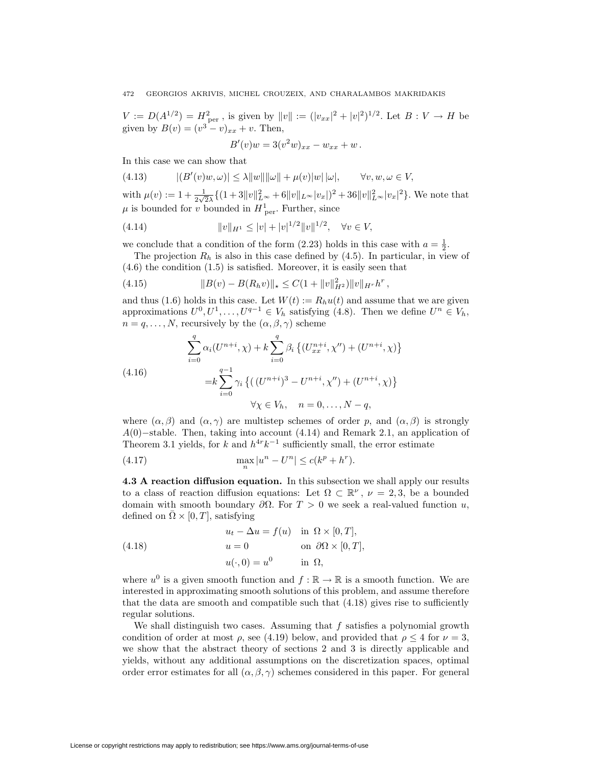$V := D(A^{1/2}) = H_{\text{per}}^2$ , is given by  $||v|| := (|v_{xx}|^2 + |v|^2)^{1/2}$ . Let  $B : V \to H$  be given by  $B(v) = (v^3 - v)_{xx} + v$ . Then,

$$
B'(v)w = 3(v2w)_{xx} - w_{xx} + w.
$$

In this case we can show that

(4.13) 
$$
|(B'(v)w, \omega)| \le \lambda ||w|| ||\omega|| + \mu(v)|w|| \omega|, \qquad \forall v, w, \omega \in V,
$$

with  $\mu(v) := 1 + \frac{1}{2\sqrt{2}\lambda} \{ (1+3||v||^2_{L^{\infty}}+6||v||_{L^{\infty}}|v_x|)^2 + 36||v||^2_{L^{\infty}}|v_x|^2 \}$ . We note that  $\mu$  is bounded for *v* bounded in  $H_{\text{per}}^1$ . Further, since

(4.14) 
$$
||v||_{H^1} \le |v| + |v|^{1/2} ||v||^{1/2}, \quad \forall v \in V,
$$

we conclude that a condition of the form  $(2.23)$  holds in this case with  $a = \frac{1}{2}$ .

The projection  $R_h$  is also in this case defined by  $(4.5)$ . In particular, in view of (4.6) the condition (1.5) is satisfied. Moreover, it is easily seen that

(4.15) 
$$
||B(v) - B(R_h v)||_* \leq C(1 + ||v||_{H^2}^2) ||v||_{H^r} h^r,
$$

and thus (1.6) holds in this case. Let  $W(t) := R_h u(t)$  and assume that we are given approximations  $U^0, U^1, \ldots, U^{q-1} \in V_h$  satisfying (4.8). Then we define  $U^n \in V_h$ ,  $n = q, \ldots, N$ , recursively by the  $(\alpha, \beta, \gamma)$  scheme

$$
\sum_{i=0}^{q} \alpha_i (U^{n+i}, \chi) + k \sum_{i=0}^{q} \beta_i \left\{ (U_{xx}^{n+i}, \chi'') + (U^{n+i}, \chi) \right\}
$$
\n
$$
= k \sum_{i=0}^{q-1} \gamma_i \left\{ ((U^{n+i})^3 - U^{n+i}, \chi'') + (U^{n+i}, \chi) \right\}
$$
\n
$$
\forall \chi \in V_h, \quad n = 0, \dots, N-q,
$$

where  $(\alpha, \beta)$  and  $(\alpha, \gamma)$  are multistep schemes of order *p*, and  $(\alpha, \beta)$  is strongly *A*(0)*−*stable. Then, taking into account (4.14) and Remark 2.1, an application of Theorem 3.1 yields, for *k* and  $h^{4r}k^{-1}$  sufficiently small, the error estimate

(4.17) 
$$
\max_{n} |u^{n} - U^{n}| \le c(k^{p} + h^{r}).
$$

**4.3 A reaction diffusion equation.** In this subsection we shall apply our results to a class of reaction diffusion equations: Let  $\Omega \subset \mathbb{R}^{\nu}$ ,  $\nu = 2,3$ , be a bounded domain with smooth boundary  $\partial\Omega$ . For  $T > 0$  we seek a real-valued function *u*, defined on  $\Omega \times [0, T]$ , satisfying

(4.18) 
$$
u_t - \Delta u = f(u) \quad \text{in } \Omega \times [0, T],
$$

$$
u = 0 \qquad \text{on } \partial \Omega \times [0, T],
$$

$$
u(\cdot, 0) = u^0 \qquad \text{in } \Omega,
$$

where  $u^0$  is a given smooth function and  $f : \mathbb{R} \to \mathbb{R}$  is a smooth function. We are interested in approximating smooth solutions of this problem, and assume therefore that the data are smooth and compatible such that  $(4.18)$  gives rise to sufficiently regular solutions.

We shall distinguish two cases. Assuming that *f* satisfies a polynomial growth condition of order at most  $\rho$ , see (4.19) below, and provided that  $\rho \leq 4$  for  $\nu = 3$ , we show that the abstract theory of sections 2 and 3 is directly applicable and yields, without any additional assumptions on the discretization spaces, optimal order error estimates for all  $(\alpha, \beta, \gamma)$  schemes considered in this paper. For general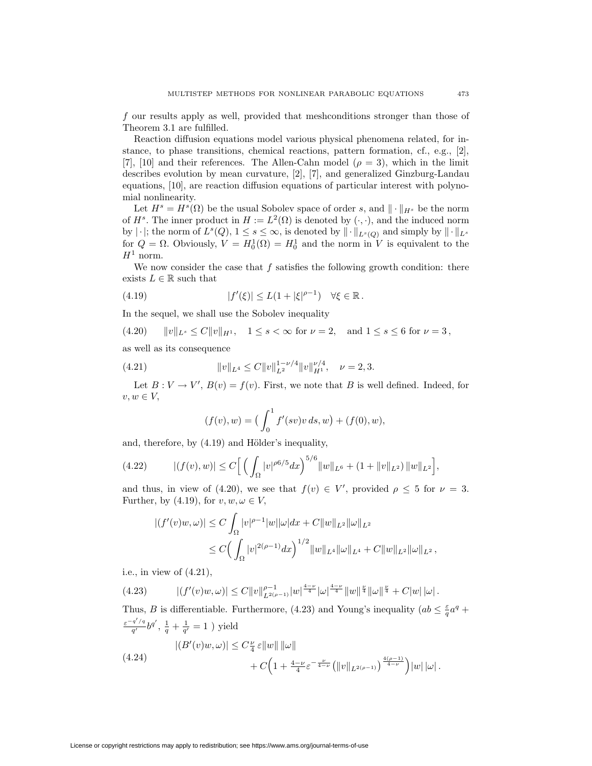*f* our results apply as well, provided that meshconditions stronger than those of Theorem 3.1 are fulfilled.

Reaction diffusion equations model various physical phenomena related, for instance, to phase transitions, chemical reactions, pattern formation, cf., e.g., [2], [7], [10] and their references. The Allen-Cahn model  $(\rho = 3)$ , which in the limit describes evolution by mean curvature, [2], [7], and generalized Ginzburg-Landau equations, [10], are reaction diffusion equations of particular interest with polynomial nonlinearity.

Let  $H^s = H^s(\Omega)$  be the usual Sobolev space of order *s*, and  $\|\cdot\|_{H^s}$  be the norm of  $H^s$ . The inner product in  $H := L^2(\Omega)$  is denoted by  $(\cdot, \cdot)$ , and the induced norm by  $|\cdot|$ ; the norm of  $L^s(Q)$ ,  $1 \leq s \leq \infty$ , is denoted by  $\|\cdot\|_{L^s(Q)}$  and simply by  $\|\cdot\|_{L^s}$ for  $Q = \Omega$ . Obviously,  $V = H_0^1(\Omega) = H_0^1$  and the norm in *V* is equivalent to the  $H^1$  norm.

We now consider the case that f satisfies the following growth condition: there exists  $L \in \mathbb{R}$  such that

(4.19) 
$$
|f'(\xi)| \le L(1+|\xi|^{\rho-1}) \quad \forall \xi \in \mathbb{R}.
$$

In the sequel, we shall use the Sobolev inequality

 $(x + 20)$   $||v||_{L^s} \leq C||v||_{H^1}, \quad 1 \leq s < \infty \text{ for } \nu = 2, \text{ and } 1 \leq s \leq 6 \text{ for } \nu = 3,$ 

as well as its consequence

(4.21) 
$$
||v||_{L^4} \leq C||v||_{L^2}^{1-\nu/4}||v||_{H^1}^{\nu/4}, \quad \nu=2,3.
$$

Let  $B: V \to V'$ ,  $B(v) = f(v)$ . First, we note that *B* is well defined. Indeed, for  $v, w \in V$ ,

$$
(f(v), w) = \left(\int_0^1 f'(sv)v \, ds, w\right) + (f(0), w),
$$

and, therefore, by  $(4.19)$  and Hölder's inequality,

(4.22) 
$$
|(f(v),w)| \leq C \left[ \left( \int_{\Omega} |v|^{\rho 6/5} dx \right)^{5/6} ||w||_{L^6} + (1 + ||v||_{L^2}) ||w||_{L^2} \right],
$$

and thus, in view of (4.20), we see that  $f(v) \in V'$ , provided  $\rho \leq 5$  for  $\nu = 3$ . Further, by (4.19), for  $v, w, \omega \in V$ ,

$$
|(f'(v)w, \omega)| \le C \int_{\Omega} |v|^{\rho-1} |w| |\omega| dx + C ||w||_{L^2} ||\omega||_{L^2}
$$
  

$$
\le C \Big( \int_{\Omega} |v|^{2(\rho-1)} dx \Big)^{1/2} ||w||_{L^4} ||\omega||_{L^4} + C ||w||_{L^2} ||\omega||_{L^2},
$$

i.e., in view of (4.21),

$$
(4.23) \qquad |(f'(v)w, \omega)| \leq C \|v\|_{L^{2(\rho-1)}}^{\rho-1} |w|^{\frac{4-\nu}{4}} |\omega|^{\frac{4-\nu}{4}} \|w\|^{\frac{\nu}{4}} \| \omega\|^{\frac{\nu}{4}} + C|w| |\omega|.
$$

Thus, *B* is differentiable. Furthermore, (4.23) and Young's inequality ( $ab \leq \frac{\varepsilon}{a}a^q +$  $\frac{e^{-q'/q}}{q'}b^{q'}$ ,  $\frac{1}{q} + \frac{1}{q'} = 1$ ) yield

(4.24) 
$$
|(B'(v)w,\omega)| \leq C\frac{\nu}{4} \varepsilon \|w\| \|\omega\| + C\Big(1 + \frac{4-\nu}{4} \varepsilon^{-\frac{\nu}{4-\nu}} \Big(\|v\|_{L^{2(\rho-1)}}\Big)^{\frac{4(\rho-1)}{4-\nu}}\Big) |w| \,|\omega|.
$$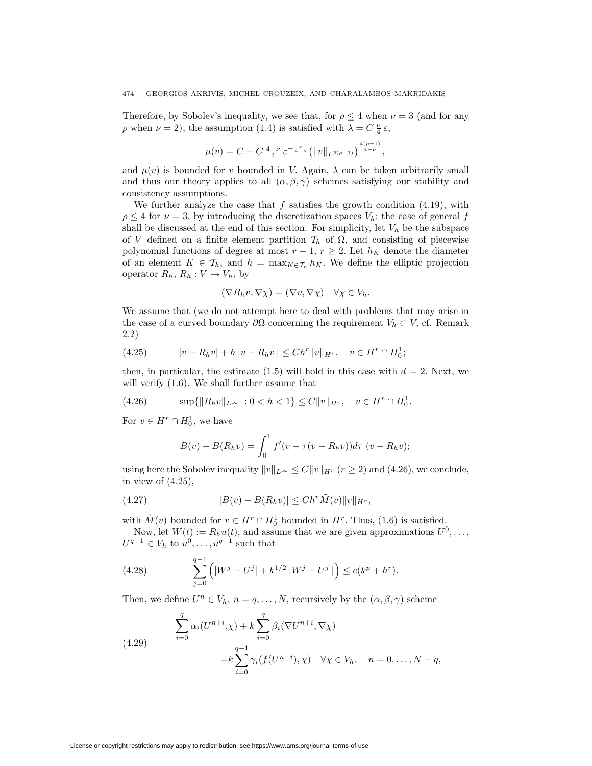Therefore, by Sobolev's inequality, we see that, for  $\rho \leq 4$  when  $\nu = 3$  (and for any *ρ* when  $\nu = 2$ ), the assumption (1.4) is satisfied with  $\lambda = C \frac{\nu}{4} \varepsilon$ ,

$$
\mu(v) = C + C \frac{4-\nu}{4} \varepsilon^{-\frac{\nu}{4-\nu}} \left( \|v\|_{L^{2(\rho-1)}} \right)^{\frac{4(\rho-1)}{4-\nu}},
$$

and  $\mu(v)$  is bounded for *v* bounded in *V*. Again,  $\lambda$  can be taken arbitrarily small and thus our theory applies to all  $(\alpha, \beta, \gamma)$  schemes satisfying our stability and consistency assumptions.

We further analyze the case that  $f$  satisfies the growth condition  $(4.19)$ , with  $\rho \leq 4$  for  $\nu = 3$ , by introducing the discretization spaces  $V_h$ ; the case of general *f* shall be discussed at the end of this section. For simplicity, let  $V_h$  be the subspace of *V* defined on a finite element partition  $\mathcal{T}_h$  of  $\Omega$ , and consisting of piecewise polynomial functions of degree at most  $r-1$ ,  $r \geq 2$ . Let  $h_K$  denote the diameter of an element  $K \in \mathcal{T}_h$ , and  $h = \max_{K \in \mathcal{T}_h} h_K$ . We define the elliptic projection operator  $R_h$ ,  $R_h: V \to V_h$ , by

$$
(\nabla R_h v, \nabla \chi) = (\nabla v, \nabla \chi) \quad \forall \chi \in V_h.
$$

We assume that (we do not attempt here to deal with problems that may arise in the case of a curved boundary  $\partial\Omega$  concerning the requirement  $V_h \subset V$ , cf. Remark 2.2)

(4.25) 
$$
|v - R_h v| + h \|v - R_h v\| \leq Ch^r \|v\|_{H^r}, \quad v \in H^r \cap H_0^1;
$$

then, in particular, the estimate  $(1.5)$  will hold in this case with  $d = 2$ . Next, we will verify (1.6). We shall further assume that

(4.26) 
$$
\sup\{\|R_h v\|_{L^\infty} : 0 < h < 1\} \le C \|v\|_{H^r}, \quad v \in H^r \cap H_0^1.
$$

For  $v \in H^r \cap H_0^1$ , we have

$$
B(v) - B(R_h v) = \int_0^1 f'(v - \tau(v - R_h v)) d\tau (v - R_h v);
$$

using here the Sobolev inequality  $||v||_{L^{\infty}} \leq C||v||_{H^r}$  ( $r \geq 2$ ) and (4.26), we conclude, in view of  $(4.25)$ ,

(4.27) 
$$
|B(v) - B(R_h v)| \leq Ch^r \tilde{M}(v) ||v||_{H^r},
$$

with  $\tilde{M}(v)$  bounded for  $v \in H^r \cap H_0^1$  bounded in  $H^r$ . Thus, (1.6) is satisfied.

Now, let  $W(t) := R_h u(t)$ , and assume that we are given approximations  $U^0, \ldots$ ,  $U^{q-1} \in V_h$  to  $\mathbf{u}^0, \ldots, \mathbf{u}^{q-1}$  such that

(4.28) 
$$
\sum_{j=0}^{q-1} (|W^j - U^j| + k^{1/2} ||W^j - U^j||) \le c(k^p + h^r).
$$

Then, we define  $U^n \in V_h$ ,  $n = q, \ldots, N$ , recursively by the  $(\alpha, \beta, \gamma)$  scheme

(4.29) 
$$
\sum_{i=0}^{q} \alpha_i (U^{n+i}, \chi) + k \sum_{i=0}^{q} \beta_i (\nabla U^{n+i}, \nabla \chi)
$$

$$
= k \sum_{i=0}^{q-1} \gamma_i (f(U^{n+i}), \chi) \quad \forall \chi \in V_h, \quad n = 0, \dots, N-q,
$$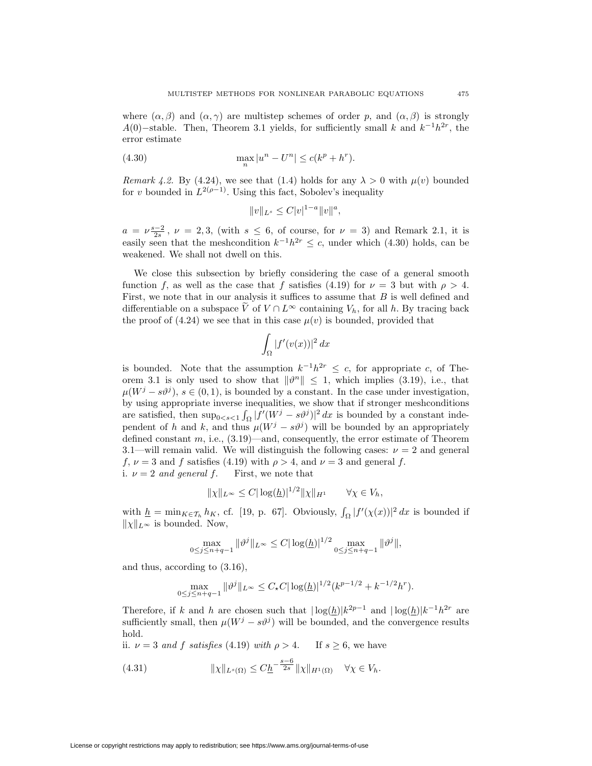where  $(\alpha, \beta)$  and  $(\alpha, \gamma)$  are multistep schemes of order *p*, and  $(\alpha, \beta)$  is strongly *A*(0)*−*stable. Then, Theorem 3.1 yields, for sufficiently small *k* and *k−*<sup>1</sup>*h*2*<sup>r</sup>,* the error estimate

(4.30) 
$$
\max_{n} |u^{n} - U^{n}| \le c(k^{p} + h^{r}).
$$

*Remark 4.2.* By (4.24), we see that (1.4) holds for any  $\lambda > 0$  with  $\mu(v)$  bounded for *v* bounded in  $L^{2(\rho-1)}$ . Using this fact, Sobolev's inequality

$$
||v||_{L^s} \leq C|v|^{1-a}||v||^a,
$$

 $a = \nu \frac{s-2}{2s}$ ,  $\nu = 2,3$ , (with  $s \leq 6$ , of course, for  $\nu = 3$ ) and Remark 2.1, it is easily seen that the meshcondition  $k^{-1}h^{2r} \leq c$ , under which (4.30) holds, can be weakened. We shall not dwell on this.

We close this subsection by briefly considering the case of a general smooth function *f*, as well as the case that *f* satisfies (4.19) for  $\nu = 3$  but with  $\rho > 4$ . First, we note that in our analysis it suffices to assume that *B* is well defined and differentiable on a subspace  $\widetilde{V}$  of  $V \cap L^{\infty}$  containing  $V_h$ , for all *h*. By tracing back the proof of  $(4.24)$  we see that in this case  $\mu(v)$  is bounded, provided that

$$
\int_{\Omega} |f'(v(x))|^2 dx
$$

is bounded. Note that the assumption  $k^{-1}h^{2r} \leq c$ , for appropriate *c*, of Theorem 3.1 is only used to show that  $\|\vartheta^n\|$  < 1, which implies (3.19), i.e., that  $\mu(W^j - s\vartheta^j)$ ,  $s \in (0,1)$ , is bounded by a constant. In the case under investigation, by using appropriate inverse inequalities, we show that if stronger meshconditions are satisfied, then  $\sup_{0 \le s \le 1} \int_{\Omega} |f'(W^j - s\vartheta^j)|^2 dx$  is bounded by a constant independent of *h* and *k*, and thus  $\mu(W^j - s\vartheta^j)$  will be bounded by an appropriately defined constant *m,* i.e., (3.19)—and, consequently, the error estimate of Theorem 3.1—will remain valid. We will distinguish the following cases:  $\nu = 2$  and general *f,*  $\nu = 3$  and *f* satisfies (4.19) with  $\rho > 4$ , and  $\nu = 3$  and general *f*. i.  $\nu = 2$  *and general f.* First, we note that

$$
\|\chi\|_{L^{\infty}} \leq C |\log(\underline{h})|^{1/2} \|\chi\|_{H^1} \qquad \forall \chi \in V_h,
$$

with  $\underline{h} = \min_{K \in \mathcal{T}_h} h_K$ , cf. [19, p. 67]. Obviously,  $\int_{\Omega} |f'(\chi(x))|^2 dx$  is bounded if  $\|\chi\|_{L^{\infty}}$  is bounded. Now,

$$
\max_{0 \le j \le n+q-1} \|\vartheta^j\|_{L^\infty} \le C |\log(\underline{h})|^{1/2} \max_{0 \le j \le n+q-1} \|\vartheta^j\|,
$$

and thus, according to (3.16),

$$
\max_{0 \le j \le n+q-1} \|\vartheta^j\|_{L^\infty} \le C_\star C |\log(\underline{h})|^{1/2} (k^{p-1/2} + k^{-1/2} h^r).
$$

Therefore, if *k* and *h* are chosen such that  $|\log(h)|k^{2p-1}$  and  $|\log(h)|k^{-1}h^{2r}$  are sufficiently small, then  $\mu(W^j - s\vartheta^j)$  will be bounded, and the convergence results hold.

ii.  $\nu = 3$  *and f satisfies* (4.19) *with*  $\rho > 4$ . If  $s > 6$ , we have

(4.31) 
$$
\|\chi\|_{L^s(\Omega)} \leq C\underline{h}^{-\frac{s-6}{2s}} \|\chi\|_{H^1(\Omega)} \quad \forall \chi \in V_h.
$$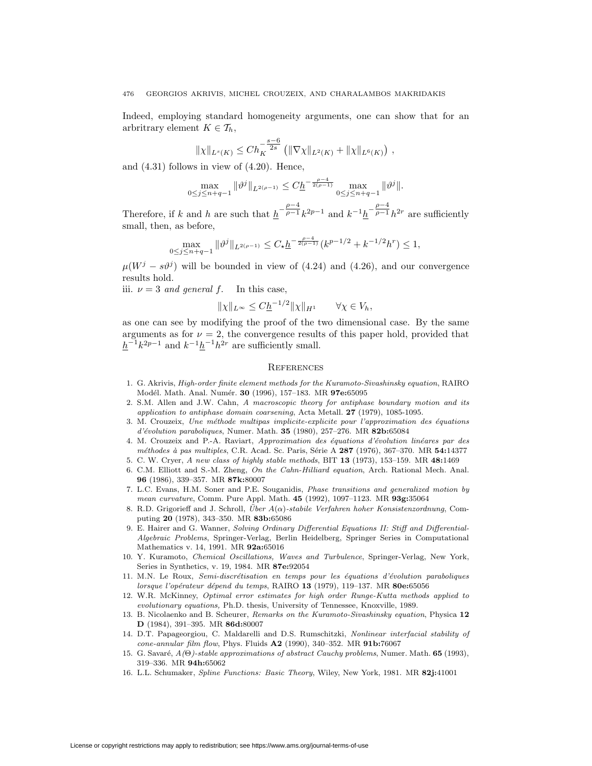Indeed, employing standard homogeneity arguments, one can show that for an arbritrary element  $K \in \mathcal{T}_h$ ,

$$
\|\chi\|_{L^s(K)} \leq Ch_K^{-\frac{s-6}{2s}} \left( \|\nabla \chi\|_{L^2(K)} + \|\chi\|_{L^6(K)} \right),
$$

and (4.31) follows in view of (4.20). Hence,

$$
\max_{0 \le j \le n+q-1} \|\vartheta^j\|_{L^{2(\rho-1)}} \le C\underline{h}^{-\frac{\rho-4}{2(\rho-1)}} \max_{0 \le j \le n+q-1} \|\vartheta^j\|.
$$

Therefore, if k and h are such that  $\underline{h}^{-\frac{\rho-4}{\rho-1}}k^{2p-1}$  and  $k^{-1}\underline{h}^{-\frac{\rho-4}{\rho-1}}h^{2r}$  are sufficiently small, then, as before,

$$
\max_{0 \le j \le n+q-1} \|\vartheta^j\|_{L^{2(\rho-1)}} \le C_\star \underline{h}^{-\frac{\rho-4}{2(\rho-1)}} (k^{p-1/2} + k^{-1/2} h^r) \le 1,
$$

 $\mu(W^j - s\vartheta^j)$  will be bounded in view of (4.24) and (4.26), and our convergence results hold.

iii.  $\nu = 3$  *and general f*. In this case,

$$
\|\chi\|_{L^{\infty}} \leq C\underline{h}^{-1/2} \|\chi\|_{H^1} \qquad \forall \chi \in V_h,
$$

as one can see by modifying the proof of the two dimensional case. By the same arguments as for  $\nu = 2$ , the convergence results of this paper hold, provided that  $h^{-1}k^{2p-1}$  and  $k^{-1}h^{2r}$  are sufficiently small.

# **REFERENCES**

- 1. G. Akrivis, High-order finite element methods for the Kuramoto-Sivashinsky equation, RAIRO Mod´el. Math. Anal. Num´er. **30** (1996), 157–183. MR **97e:**65095
- 2. S.M. Allen and J.W. Cahn, A macroscopic theory for antiphase boundary motion and its application to antiphase domain coarsening, Acta Metall. **27** (1979), 1085-1095.
- 3. M. Crouzeix, Une méthode multipas implicite-explicite pour l'approximation des équations d'´evolution paraboliques, Numer. Math. **35** (1980), 257–276. MR **82b:**65084
- 4. M. Crouzeix and P.-A. Raviart, Approximation des équations d'évolution linéares par des m´ethodes `a pas multiples, C.R. Acad. Sc. Paris, S´erie A **287** (1976), 367–370. MR **54:**14377
- 5. C. W. Cryer, A new class of highly stable methods, BIT **13** (1973), 153–159. MR **48:**1469
- 6. C.M. Elliott and S.-M. Zheng, On the Cahn-Hilliard equation, Arch. Rational Mech. Anal. **96** (1986), 339–357. MR **87k:**80007
- 7. L.C. Evans, H.M. Soner and P.E. Souganidis, Phase transitions and generalized motion by mean curvature, Comm. Pure Appl. Math. **45** (1992), 1097–1123. MR **93g:**35064
- 8. R.D. Grigorieff and J. Schroll, *Über A*(α)-stabile Verfahren hoher Konsistenzordnung, Computing **20** (1978), 343–350. MR **83b:**65086
- 9. E. Hairer and G. Wanner, Solving Ordinary Differential Equations II: Stiff and Differential-Algebraic Problems, Springer-Verlag, Berlin Heidelberg, Springer Series in Computational Mathematics v. 14, 1991. MR **92a:**65016
- 10. Y. Kuramoto, Chemical Oscillations, Waves and Turbulence, Springer-Verlag, New York, Series in Synthetics, v. 19, 1984. MR **87e:**92054
- 11. M.N. Le Roux, Semi-discrétisation en temps pour les équations d'évolution paraboliques lorsque l'op´erateur d´epend du temps, RAIRO **13** (1979), 119–137. MR **80e:**65056
- 12. W.R. McKinney, Optimal error estimates for high order Runge-Kutta methods applied to evolutionary equations, Ph.D. thesis, University of Tennessee, Knoxville, 1989.
- 13. B. Nicolaenko and B. Scheurer, Remarks on the Kuramoto-Sivashinsky equation, Physica **12 D** (1984), 391–395. MR **86d:**80007
- 14. D.T. Papageorgiou, C. Maldarelli and D.S. Rumschitzki, Nonlinear interfacial stability of cone-annular film flow, Phys. Fluids **A2** (1990), 340–352. MR **91b:**76067
- 15. G. Savaré,  $A(\Theta)$ -stable approximations of abstract Cauchy problems, Numer. Math. **65** (1993), 319–336. MR **94h:**65062
- 16. L.L. Schumaker, Spline Functions: Basic Theory, Wiley, New York, 1981. MR **82j:**41001